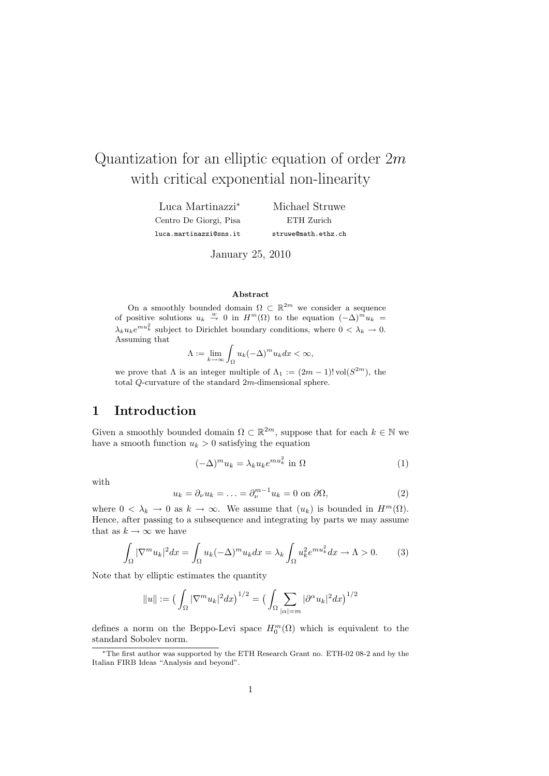# Quantization for an elliptic equation of order  $2m$ with critical exponential non-linearity

Luca Martinazzi<sup>∗</sup> Centro De Giorgi, Pisa luca.martinazzi@sns.it Michael Struwe ETH Zurich struwe@math.ethz.ch

January 25, 2010

#### Abstract

On a smoothly bounded domain  $\Omega \subset \mathbb{R}^{2m}$  we consider a sequence of positive solutions  $u_k \stackrel{w}{\rightarrow} 0$  in  $H^m(\Omega)$  to the equation  $(-\Delta)^m u_k =$  $\lambda_k u_k e^{mu_k^2}$  subject to Dirichlet boundary conditions, where  $0 < \lambda_k \to 0$ . Assuming that

$$
\Lambda := \lim_{k \to \infty} \int_{\Omega} u_k (-\Delta)^m u_k dx < \infty,
$$

we prove that  $\Lambda$  is an integer multiple of  $\Lambda_1 := (2m-1)! \text{ vol}(S^{2m})$ , the total Q-curvature of the standard 2m-dimensional sphere.

# 1 Introduction

Given a smoothly bounded domain  $\Omega \subset \mathbb{R}^{2m}$ , suppose that for each  $k \in \mathbb{N}$  we have a smooth function  $u_k > 0$  satisfying the equation

$$
(-\Delta)^m u_k = \lambda_k u_k e^{m u_k^2} \text{ in } \Omega \tag{1}
$$

with

$$
u_k = \partial_\nu u_k = \dots = \partial_\nu^{m-1} u_k = 0 \text{ on } \partial\Omega,
$$
 (2)

where  $0 < \lambda_k \to 0$  as  $k \to \infty$ . We assume that  $(u_k)$  is bounded in  $H^m(\Omega)$ . Hence, after passing to a subsequence and integrating by parts we may assume that as  $k \to \infty$  we have

$$
\int_{\Omega} |\nabla^m u_k|^2 dx = \int_{\Omega} u_k (-\Delta)^m u_k dx = \lambda_k \int_{\Omega} u_k^2 e^{m u_k^2} dx \to \Lambda > 0. \tag{3}
$$

Note that by elliptic estimates the quantity

$$
||u|| := \left(\int_{\Omega} |\nabla^m u_k|^2 dx\right)^{1/2} = \left(\int_{\Omega} \sum_{|\alpha|=m} |\partial^{\alpha} u_k|^2 dx\right)^{1/2}
$$

defines a norm on the Beppo-Levi space  $H_0^m(\Omega)$  which is equivalent to the standard Sobolev norm.

<sup>∗</sup>The first author was supported by the ETH Research Grant no. ETH-02 08-2 and by the Italian FIRB Ideas "Analysis and beyond".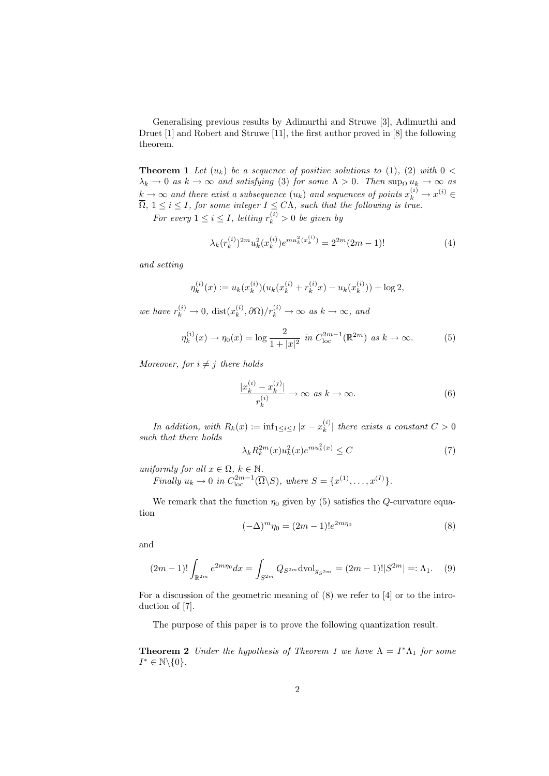Generalising previous results by Adimurthi and Struwe [3], Adimurthi and Druet [1] and Robert and Struwe [11], the first author proved in [8] the following theorem.

**Theorem 1** Let  $(u_k)$  be a sequence of positive solutions to (1), (2) with  $0 <$  $\lambda_k \to 0$  as  $k \to \infty$  and satisfying (3) for some  $\Lambda > 0$ . Then  $\sup_{\Omega} u_k \to \infty$  as  $k\rightarrow\infty$  and there exist a subsequence  $(u_k)$  and sequences of points  $x_k^{(i)}\rightarrow x^{(i)}\in\mathbb{R}$  $\overline{\Omega}$ ,  $1 \leq i \leq I$ , for some integer  $I \leq C\Lambda$ , such that the following is true.

For every  $1 \leq i \leq I$ , letting  $r_k^{(i)} > 0$  be given by

$$
\lambda_k(r_k^{(i)})^{2m} u_k^2(x_k^{(i)}) e^{m u_k^2(x_k^{(i)})} = 2^{2m} (2m - 1)!
$$
 (4)

and setting

$$
\eta_k^{(i)}(x) := u_k(x_k^{(i)}) (u_k(x_k^{(i)} + r_k^{(i)}x) - u_k(x_k^{(i)})) + \log 2,
$$

we have  $r_k^{(i)} \to 0$ , dist $(x_k^{(i)})$  $\binom{(i)}{k}, \frac{\partial \Omega}{r_k^{(i)}} \to \infty$  as  $k \to \infty$ , and

$$
\eta_k^{(i)}(x) \to \eta_0(x) = \log \frac{2}{1+|x|^2} \text{ in } C_{\text{loc}}^{2m-1}(\mathbb{R}^{2m}) \text{ as } k \to \infty.
$$
 (5)

Moreover, for  $i \neq j$  there holds

$$
\frac{|x_k^{(i)} - x_k^{(j)}|}{r_k^{(i)}} \to \infty \text{ as } k \to \infty.
$$
 (6)

In addition, with  $R_k(x) := \inf_{1 \leq i \leq I} |x - x_k^{(i)}|$  $\binom{N}{k}$  there exists a constant  $C > 0$ such that there holds

$$
\lambda_k R_k^{2m}(x) u_k^2(x) e^{m u_k^2(x)} \le C \tag{7}
$$

uniformly for all  $x \in \Omega$ ,  $k \in \mathbb{N}$ .

Finally  $u_k \to 0$  in  $C_{\text{loc}}^{2m-1}(\overline{\Omega}\backslash S)$ , where  $S = \{x^{(1)}, \ldots, x^{(I)}\}.$ 

We remark that the function  $\eta_0$  given by (5) satisfies the *Q*-curvature equation

$$
(-\Delta)^m \eta_0 = (2m - 1)! e^{2m\eta_0}
$$
 (8)

and

$$
(2m-1)!\int_{\mathbb{R}^{2m}} e^{2m\eta_0} dx = \int_{S^{2m}} Q_{S^{2m}} \text{dvol}_{g_{S^{2m}}} = (2m-1)!|S^{2m}| =: \Lambda_1. \tag{9}
$$

For a discussion of the geometric meaning of (8) we refer to [4] or to the introduction of [7].

The purpose of this paper is to prove the following quantization result.

**Theorem 2** Under the hypothesis of Theorem 1 we have  $\Lambda = I^*\Lambda_1$  for some  $I^* \in \mathbb{N} \backslash \{0\}.$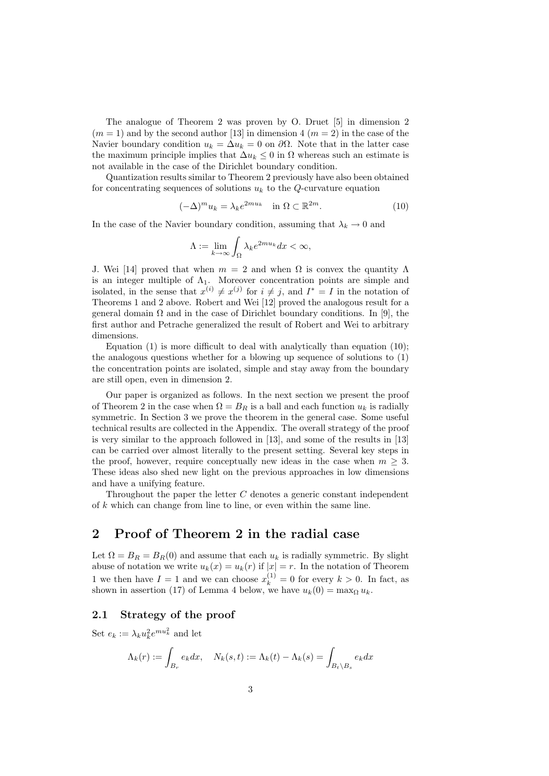The analogue of Theorem 2 was proven by O. Druet [5] in dimension 2  $(m = 1)$  and by the second author [13] in dimension 4  $(m = 2)$  in the case of the Navier boundary condition  $u_k = \Delta u_k = 0$  on  $\partial \Omega$ . Note that in the latter case the maximum principle implies that  $\Delta u_k \leq 0$  in  $\Omega$  whereas such an estimate is not available in the case of the Dirichlet boundary condition.

Quantization results similar to Theorem 2 previously have also been obtained for concentrating sequences of solutions  $u_k$  to the Q-curvature equation

$$
(-\Delta)^m u_k = \lambda_k e^{2mu_k} \quad \text{in } \Omega \subset \mathbb{R}^{2m}.
$$
 (10)

In the case of the Navier boundary condition, assuming that  $\lambda_k \to 0$  and

$$
\Lambda := \lim_{k \to \infty} \int_{\Omega} \lambda_k e^{2mu_k} dx < \infty,
$$

J. Wei [14] proved that when  $m = 2$  and when  $\Omega$  is convex the quantity  $\Lambda$ is an integer multiple of  $\Lambda_1$ . Moreover concentration points are simple and isolated, in the sense that  $x^{(i)} \neq x^{(j)}$  for  $i \neq j$ , and  $I^* = I$  in the notation of Theorems 1 and 2 above. Robert and Wei [12] proved the analogous result for a general domain  $\Omega$  and in the case of Dirichlet boundary conditions. In [9], the first author and Petrache generalized the result of Robert and Wei to arbitrary dimensions.

Equation (1) is more difficult to deal with analytically than equation (10); the analogous questions whether for a blowing up sequence of solutions to (1) the concentration points are isolated, simple and stay away from the boundary are still open, even in dimension 2.

Our paper is organized as follows. In the next section we present the proof of Theorem 2 in the case when  $\Omega = B_R$  is a ball and each function  $u_k$  is radially symmetric. In Section 3 we prove the theorem in the general case. Some useful technical results are collected in the Appendix. The overall strategy of the proof is very similar to the approach followed in [13], and some of the results in [13] can be carried over almost literally to the present setting. Several key steps in the proof, however, require conceptually new ideas in the case when  $m \geq 3$ . These ideas also shed new light on the previous approaches in low dimensions and have a unifying feature.

Throughout the paper the letter C denotes a generic constant independent of k which can change from line to line, or even within the same line.

## 2 Proof of Theorem 2 in the radial case

Let  $\Omega = B_R = B_R(0)$  and assume that each  $u_k$  is radially symmetric. By slight abuse of notation we write  $u_k(x) = u_k(r)$  if  $|x| = r$ . In the notation of Theorem 1 we then have  $I = 1$  and we can choose  $x_k^{(1)} = 0$  for every  $k > 0$ . In fact, as shown in assertion (17) of Lemma 4 below, we have  $u_k(0) = \max_{\Omega} u_k$ .

### 2.1 Strategy of the proof

Set  $e_k := \lambda_k u_k^2 e^{mu_k^2}$  and let

$$
\Lambda_k(r) := \int_{B_r} e_k dx, \quad N_k(s, t) := \Lambda_k(t) - \Lambda_k(s) = \int_{B_t \setminus B_s} e_k dx
$$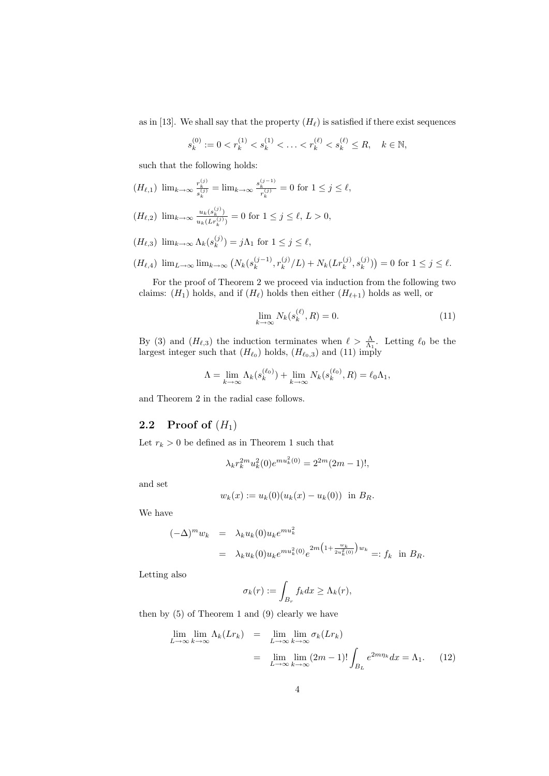as in [13]. We shall say that the property  $(H_{\ell})$  is satisfied if there exist sequences

$$
s_k^{(0)} := 0 < r_k^{(1)} < s_k^{(1)} < \ldots < r_k^{(\ell)} < s_k^{(\ell)} \le R, \quad k \in \mathbb{N},
$$

such that the following holds:

$$
(H_{\ell,1}) \ \lim_{k \to \infty} \frac{r_k^{(j)}}{s_k^{(j)}} = \lim_{k \to \infty} \frac{s_k^{(j-1)}}{r_k^{(j)}} = 0 \text{ for } 1 \le j \le \ell,
$$

$$
(H_{\ell,2}) \ \lim_{k \to \infty} \frac{u_k(s_k^{(j)})}{u_k(Lr_k^{(j)})} = 0 \text{ for } 1 \le j \le \ell, L > 0,
$$

 $(H_{\ell,3})$  lim $_{k\to\infty}$   $\Lambda_k(s_k^{(j)})$  $\lambda_k^{(j)}$  =  $j\Lambda_1$  for  $1 \leq j \leq \ell$ ,

$$
(H_{\ell,4}) \ \lim_{L\to\infty} \lim_{k\to\infty} \left( N_k(s_k^{(j-1)}, r_k^{(j)}/L) + N_k(Lr_k^{(j)}, s_k^{(j)}) \right) = 0 \text{ for } 1 \le j \le \ell.
$$

For the proof of Theorem 2 we proceed via induction from the following two claims:  $(H_1)$  holds, and if  $(H_\ell)$  holds then either  $(H_{\ell+1})$  holds as well, or

$$
\lim_{k \to \infty} N_k(s_k^{(\ell)}, R) = 0. \tag{11}
$$

By (3) and  $(H_{\ell,3})$  the induction terminates when  $\ell > \frac{\Lambda}{\Lambda_1}$ . Letting  $\ell_0$  be the largest integer such that  $(H_{\ell_0})$  holds,  $(H_{\ell_0,3})$  and (11) imply

$$
\Lambda = \lim_{k \to \infty} \Lambda_k(s_k^{(\ell_0)}) + \lim_{k \to \infty} N_k(s_k^{(\ell_0)}, R) = \ell_0 \Lambda_1,
$$

and Theorem 2 in the radial case follows.

## 2.2 Proof of  $(H_1)$

Let  $r_k > 0$  be defined as in Theorem 1 such that

$$
\lambda_k r_k^{2m} u_k^2(0) e^{m u_k^2(0)} = 2^{2m} (2m - 1)!,
$$

and set

$$
w_k(x) := u_k(0)(u_k(x) - u_k(0))
$$
 in  $B_R$ .

We have

$$
(-\Delta)^m w_k = \lambda_k u_k(0) u_k e^{m u_k^2}
$$
  
=  $\lambda_k u_k(0) u_k e^{m u_k^2(0)} e^{2m \left(1 + \frac{w_k}{2 u_k^2(0)}\right) w_k} =: f_k \text{ in } B_R.$ 

Letting also

$$
\sigma_k(r) := \int_{B_r} f_k dx \ge \Lambda_k(r),
$$

then by (5) of Theorem 1 and (9) clearly we have

$$
\lim_{L \to \infty} \lim_{k \to \infty} \Lambda_k(Lr_k) = \lim_{L \to \infty} \lim_{k \to \infty} \sigma_k(Lr_k)
$$
  
= 
$$
\lim_{L \to \infty} \lim_{k \to \infty} (2m - 1)! \int_{B_L} e^{2m\eta_k} dx = \Lambda_1.
$$
 (12)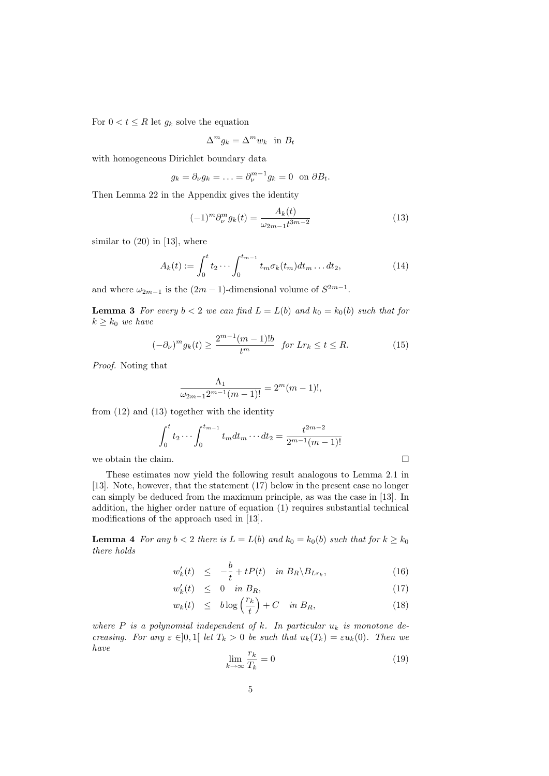For  $0 < t \leq R$  let  $g_k$  solve the equation

$$
\Delta^m g_k = \Delta^m w_k \text{ in } B_t
$$

with homogeneous Dirichlet boundary data

$$
g_k = \partial_\nu g_k = \ldots = \partial_\nu^{m-1} g_k = 0 \text{ on } \partial B_t.
$$

Then Lemma 22 in the Appendix gives the identity

$$
(-1)^{m} \partial_{\nu}^{m} g_{k}(t) = \frac{A_{k}(t)}{\omega_{2m-1} t^{3m-2}}
$$
\n(13)

similar to  $(20)$  in [13], where

$$
A_k(t) := \int_0^t t_2 \cdots \int_0^{t_{m-1}} t_m \sigma_k(t_m) dt_m \dots dt_2,
$$
 (14)

and where  $\omega_{2m-1}$  is the  $(2m-1)$ -dimensional volume of  $S^{2m-1}$ .

**Lemma 3** For every  $b < 2$  we can find  $L = L(b)$  and  $k_0 = k_0(b)$  such that for  $k \geq k_0$  we have

$$
(-\partial_{\nu})^m g_k(t) \ge \frac{2^{m-1}(m-1)!b}{t^m} \quad \text{for } Lr_k \le t \le R. \tag{15}
$$

Proof. Noting that

$$
\frac{\Lambda_1}{\omega_{2m-1}2^{m-1}(m-1)!} = 2^m(m-1)!,
$$

from (12) and (13) together with the identity

$$
\int_0^t t_2 \cdots \int_0^{t_{m-1}} t_m dt_m \cdots dt_2 = \frac{t^{2m-2}}{2^{m-1}(m-1)!}
$$
  
we obtain the claim.

These estimates now yield the following result analogous to Lemma 2.1 in [13]. Note, however, that the statement (17) below in the present case no longer can simply be deduced from the maximum principle, as was the case in [13]. In addition, the higher order nature of equation (1) requires substantial technical modifications of the approach used in [13].

**Lemma 4** For any  $b < 2$  there is  $L = L(b)$  and  $k_0 = k_0(b)$  such that for  $k \geq k_0$ there holds

$$
w'_{k}(t) \leq -\frac{b}{t} + tP(t) \quad \text{in } B_R \backslash B_{Lr_k}, \tag{16}
$$

$$
w_k'(t) \leq 0 \quad \text{in } B_R,\tag{17}
$$

$$
w_k(t) \leq b \log\left(\frac{r_k}{t}\right) + C \quad \text{in } B_R,\tag{18}
$$

where P is a polynomial independent of k. In particular  $u_k$  is monotone decreasing. For any  $\varepsilon \in ]0,1[$  let  $T_k > 0$  be such that  $u_k(T_k) = \varepsilon u_k(0)$ . Then we have

$$
\lim_{k \to \infty} \frac{r_k}{T_k} = 0 \tag{19}
$$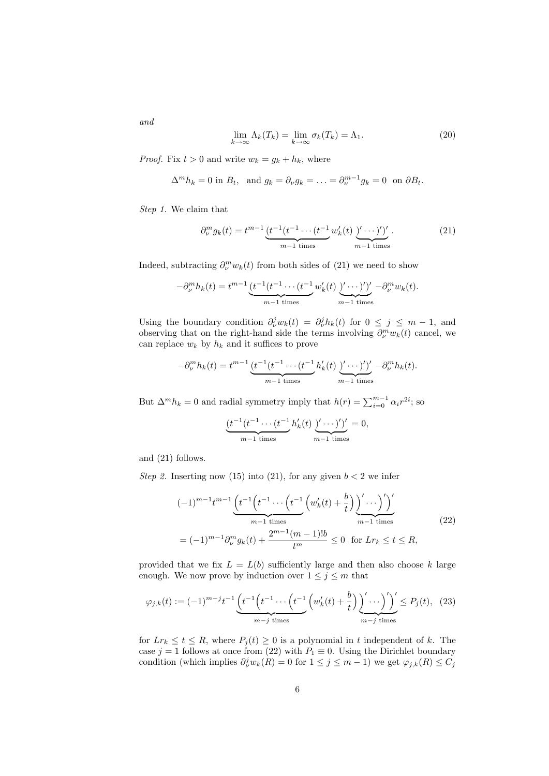and

$$
\lim_{k \to \infty} \Lambda_k(T_k) = \lim_{k \to \infty} \sigma_k(T_k) = \Lambda_1. \tag{20}
$$

*Proof.* Fix  $t > 0$  and write  $w_k = g_k + h_k$ , where

$$
\Delta^m h_k = 0 \text{ in } B_t, \text{ and } g_k = \partial_\nu g_k = \ldots = \partial_\nu^{m-1} g_k = 0 \text{ on } \partial B_t.
$$

Step 1. We claim that

$$
\partial_{\nu}^{m} g_{k}(t) = t^{m-1} \underbrace{(t^{-1}(t^{-1} \cdots (t^{-1}) w'_{k}(t) \sum' \cdots )')'}_{m-1 \text{ times}}.
$$
 (21)

Indeed, subtracting  $\partial_{\nu}^{m} w_{k}(t)$  from both sides of (21) we need to show

$$
-\partial_{\nu}^{m}h_{k}(t) = t^{m-1}\underbrace{(t^{-1}(t^{-1}\cdots(t^{-1})w'_{k}(t))'\cdots)')'}_{m-1 \text{ times}} -\partial_{\nu}^{m}w_{k}(t).
$$

Using the boundary condition  $\partial_{\nu}^{j} w_{k}(t) = \partial_{\nu}^{j} h_{k}(t)$  for  $0 \leq j \leq m-1$ , and observing that on the right-hand side the terms involving  $\partial_{\nu}^{m} w_{k}(t)$  cancel, we can replace  $w_k$  by  $h_k$  and it suffices to prove

$$
-\partial_{\nu}^{m}h_{k}(t) = t^{m-1}\underbrace{(t^{-1}(t^{-1}\cdots(t^{-1})h_{k}'(t))'\cdots)')'}_{m-1 \text{ times}} -\partial_{\nu}^{m}h_{k}(t).
$$

But  $\Delta^m h_k = 0$  and radial symmetry imply that  $h(r) = \sum_{i=0}^{m-1} \alpha_i r^{2i}$ ; so

$$
\underbrace{(t^{-1}(t^{-1}\cdots(t^{-1})h'_k(t))\underbrace{y'\cdots y'}_{m-1 \text{ times}})}_{m-1 \text{ times}} = 0,
$$

and (21) follows.

Step 2. Inserting now (15) into (21), for any given  $b < 2$  we infer

$$
(-1)^{m-1}t^{m-1}\underbrace{\left(t^{-1}\left(t^{-1}\cdots\left(t^{-1}\left(w'_k(t)+\frac{b}{t}\right)\right)'\cdots\right)'\right)'}_{m-1 \text{ times}}\underbrace{\left(m-1\right)\left(\frac{b}{t}\right)'\cdots\right)'}_{m-1 \text{ times}}\tag{22}
$$
\n
$$
=(-1)^{m-1}\partial_{\nu}^{m}g_k(t)+\frac{2^{m-1}(m-1)!b}{t^m}\leq 0 \text{ for } Lr_k\leq t\leq R,
$$

provided that we fix  $L = L(b)$  sufficiently large and then also choose k large enough. We now prove by induction over  $1 \leq j \leq m$  that

$$
\varphi_{j,k}(t) := (-1)^{m-j} t^{-1} \underbrace{\left(t^{-1}\left(t^{-1}\cdots\left(t^{-1}\left(w'_k(t) + \frac{b}{t}\right)\right)'\cdots\right)'\right)}_{m-j \text{ times}} \le P_j(t), \tag{23}
$$

for  $Lr_k \le t \le R$ , where  $P_i(t) \ge 0$  is a polynomial in t independent of k. The case  $j = 1$  follows at once from (22) with  $P_1 \equiv 0$ . Using the Dirichlet boundary condition (which implies  $\partial_{\nu}^{j} w_{k}(R) = 0$  for  $1 \leq j \leq m-1$ ) we get  $\varphi_{j,k}(R) \leq C_j$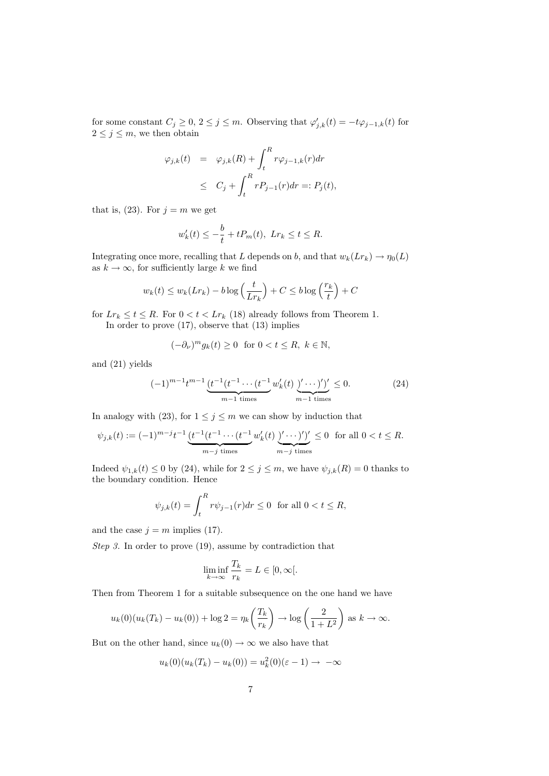for some constant  $C_j \geq 0$ ,  $2 \leq j \leq m$ . Observing that  $\varphi'_{j,k}(t) = -t\varphi_{j-1,k}(t)$  for  $2 \leq j \leq m$ , we then obtain

$$
\varphi_{j,k}(t) = \varphi_{j,k}(R) + \int_t^R r \varphi_{j-1,k}(r) dr
$$
  

$$
\leq C_j + \int_t^R r P_{j-1}(r) dr =: P_j(t),
$$

that is, (23). For  $j = m$  we get

$$
w'_{k}(t) \leq -\frac{b}{t} + tP_m(t), \ Lr_k \leq t \leq R.
$$

Integrating once more, recalling that L depends on b, and that  $w_k(Lr_k) \to \eta_0(L)$ as  $k \to \infty$ , for sufficiently large k we find

$$
w_k(t) \le w_k(Lr_k) - b \log\left(\frac{t}{Lr_k}\right) + C \le b \log\left(\frac{r_k}{t}\right) + C
$$

for  $Lr_k \leq t \leq R$ . For  $0 < t < Lr_k$  (18) already follows from Theorem 1. In order to prove (17), observe that (13) implies

$$
(-\partial_{\nu})^{m} g_{k}(t) \ge 0 \text{ for } 0 < t \le R, \ k \in \mathbb{N},
$$

and (21) yields

$$
(-1)^{m-1}t^{m-1}\underbrace{(t^{-1}(t^{-1}\cdots(t^{-1})w_k'(t)\underbrace{y'\cdots y'}_{m-1 \text{ times}})}_{m-1 \text{ times}}\leq 0. \tag{24}
$$

In analogy with (23), for  $1 \leq j \leq m$  we can show by induction that

$$
\psi_{j,k}(t) := (-1)^{m-j} t^{-1} \underbrace{(t^{-1}(t^{-1} \cdots (t^{-1} w'_k(t) \underbrace{y' \cdots )')'}_{m-j \text{ times}} \le 0 \text{ for all } 0 < t \le R.
$$

Indeed  $\psi_{1,k}(t) \leq 0$  by (24), while for  $2 \leq j \leq m$ , we have  $\psi_{j,k}(R) = 0$  thanks to the boundary condition. Hence

$$
\psi_{j,k}(t) = \int_t^R r \psi_{j-1}(r) dr \le 0 \text{ for all } 0 < t \le R,
$$

and the case  $j = m$  implies (17).

Step 3. In order to prove (19), assume by contradiction that

$$
\liminf_{k \to \infty} \frac{T_k}{r_k} = L \in [0, \infty[.
$$

Then from Theorem 1 for a suitable subsequence on the one hand we have

$$
u_k(0)(u_k(T_k) - u_k(0)) + \log 2 = \eta_k\left(\frac{T_k}{r_k}\right) \to \log\left(\frac{2}{1+L^2}\right) \text{ as } k \to \infty.
$$

But on the other hand, since  $u_k(0) \to \infty$  we also have that

$$
u_k(0)(u_k(T_k) - u_k(0)) = u_k^2(0)(\varepsilon - 1) \to -\infty
$$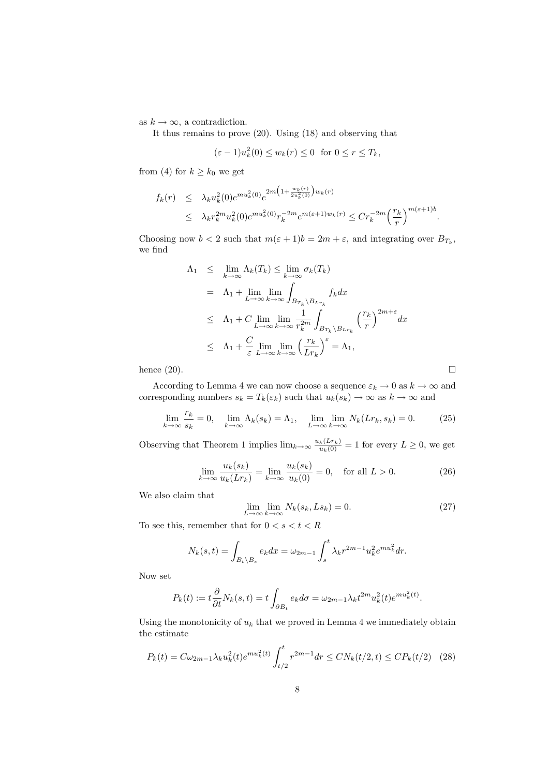as  $k \to \infty$ , a contradiction.

It thus remains to prove (20). Using (18) and observing that

$$
(\varepsilon - 1)u_k^2(0) \le w_k(r) \le 0 \text{ for } 0 \le r \le T_k,
$$

from (4) for  $k \geq k_0$  we get

$$
f_k(r) \leq \lambda_k u_k^2(0) e^{m u_k^2(0)} e^{2m \left(1 + \frac{w_k(r)}{2u_k^2(0)}\right) w_k(r)}
$$
  

$$
\leq \lambda_k r_k^{2m} u_k^2(0) e^{m u_k^2(0)} r_k^{-2m} e^{m(\varepsilon + 1) w_k(r)} \leq C r_k^{-2m} \left(\frac{r_k}{r}\right)^{m(\varepsilon + 1)b}.
$$

Choosing now  $b < 2$  such that  $m(\varepsilon + 1)b = 2m + \varepsilon$ , and integrating over  $B_{T_k}$ , we find

$$
\Lambda_1 \leq \lim_{k \to \infty} \Lambda_k(T_k) \leq \lim_{k \to \infty} \sigma_k(T_k)
$$
\n
$$
= \Lambda_1 + \lim_{L \to \infty} \lim_{k \to \infty} \int_{B_{T_k} \setminus B_{L_{r_k}}} f_k dx
$$
\n
$$
\leq \Lambda_1 + C \lim_{L \to \infty} \lim_{k \to \infty} \frac{1}{r_k^{2m}} \int_{B_{T_k} \setminus B_{L_{r_k}}} \left(\frac{r_k}{r}\right)^{2m+\varepsilon} dx
$$
\n
$$
\leq \Lambda_1 + \frac{C}{\varepsilon} \lim_{L \to \infty} \lim_{k \to \infty} \left(\frac{r_k}{L_{r_k}}\right)^{\varepsilon} = \Lambda_1,
$$

hence  $(20)$ .

According to Lemma 4 we can now choose a sequence  $\varepsilon_k \to 0$  as  $k \to \infty$  and corresponding numbers  $s_k = T_k(\varepsilon_k)$  such that  $u_k(s_k) \to \infty$  as  $k \to \infty$  and

$$
\lim_{k \to \infty} \frac{r_k}{s_k} = 0, \quad \lim_{k \to \infty} \Lambda_k(s_k) = \Lambda_1, \quad \lim_{L \to \infty} \lim_{k \to \infty} N_k(Lr_k, s_k) = 0. \tag{25}
$$

Observing that Theorem 1 implies  $\lim_{k\to\infty} \frac{u_k(Lr_k)}{u_k(0)} = 1$  for every  $L \geq 0$ , we get

$$
\lim_{k \to \infty} \frac{u_k(s_k)}{u_k(Lr_k)} = \lim_{k \to \infty} \frac{u_k(s_k)}{u_k(0)} = 0, \quad \text{for all } L > 0.
$$
 (26)

We also claim that

$$
\lim_{L \to \infty} \lim_{k \to \infty} N_k(s_k, Ls_k) = 0.
$$
\n(27)

To see this, remember that for  $0 < s < t < R$ 

$$
N_k(s,t) = \int_{B_t \backslash B_s} e_k dx = \omega_{2m-1} \int_s^t \lambda_k r^{2m-1} u_k^2 e^{mu_k^2} dr.
$$

Now set

$$
P_k(t) := t \frac{\partial}{\partial t} N_k(s, t) = t \int_{\partial B_t} e_k d\sigma = \omega_{2m-1} \lambda_k t^{2m} u_k^2(t) e^{m u_k^2(t)}.
$$

Using the monotonicity of  $u_k$  that we proved in Lemma 4 we immediately obtain the estimate

$$
P_k(t) = C\omega_{2m-1}\lambda_k u_k^2(t)e^{mu_k^2(t)} \int_{t/2}^t r^{2m-1} dr \le CN_k(t/2, t) \le CP_k(t/2) \quad (28)
$$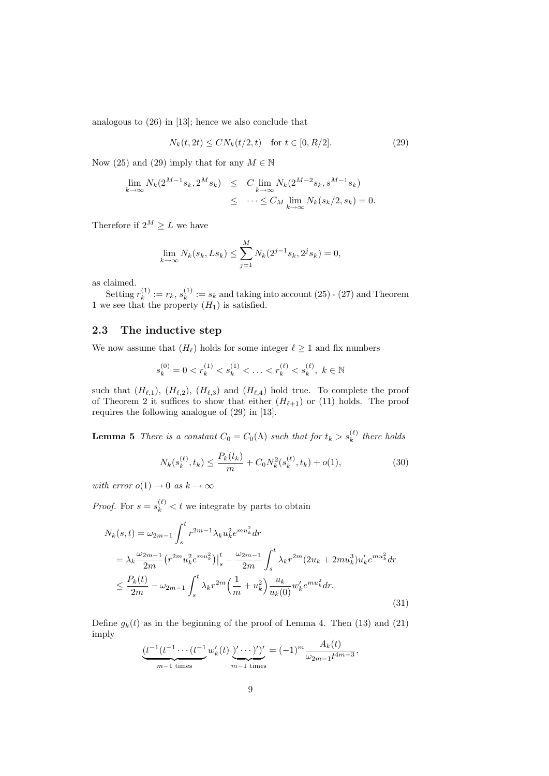analogous to (26) in [13]; hence we also conclude that

$$
N_k(t, 2t) \le CN_k(t/2, t) \quad \text{for } t \in [0, R/2].
$$
 (29)

Now (25) and (29) imply that for any  $M \in \mathbb{N}$ 

$$
\lim_{k \to \infty} N_k(2^{M-1}s_k, 2^Ms_k) \leq C \lim_{k \to \infty} N_k(2^{M-2}s_k, s^{M-1}s_k) \leq \cdots \leq C_M \lim_{k \to \infty} N_k(s_k/2, s_k) = 0.
$$

Therefore if  $2^M > L$  we have

$$
\lim_{k \to \infty} N_k(s_k, Ls_k) \le \sum_{j=1}^M N_k(2^{j-1}s_k, 2^js_k) = 0,
$$

as claimed.

Setting  $r_k^{(1)}$  $s_k^{(1)} := r_k, s_k^{(1)}$  $k_k^{(1)} := s_k$  and taking into account (25) - (27) and Theorem 1 we see that the property  $(H_1)$  is satisfied.

#### 2.3 The inductive step

We now assume that  $(H_{\ell})$  holds for some integer  $\ell \geq 1$  and fix numbers

$$
s_k^{(0)} = 0 < r_k^{(1)} < s_k^{(1)} < \ldots < r_k^{(\ell)} < s_k^{(\ell)}, \ k \in \mathbb{N}
$$

such that  $(H_{\ell,1}), (H_{\ell,2}), (H_{\ell,3})$  and  $(H_{\ell,4})$  hold true. To complete the proof of Theorem 2 it suffices to show that either  $(H_{\ell+1})$  or (11) holds. The proof requires the following analogue of (29) in [13].

**Lemma 5** There is a constant  $C_0 = C_0(\Lambda)$  such that for  $t_k > s_k^{(\ell)}$  there holds

$$
N_k(s_k^{(\ell)}, t_k) \le \frac{P_k(t_k)}{m} + C_0 N_k^2(s_k^{(\ell)}, t_k) + o(1),\tag{30}
$$

with error  $o(1) \rightarrow 0$  as  $k \rightarrow \infty$ 

*Proof.* For  $s = s_k^{(\ell)} < t$  we integrate by parts to obtain

$$
N_k(s,t) = \omega_{2m-1} \int_s^t r^{2m-1} \lambda_k u_k^2 e^{mu_k^2} dr
$$
  
\n
$$
= \lambda_k \frac{\omega_{2m-1}}{2m} \left( r^{2m} u_k^2 e^{mu_k^2} \right) \Big|_s^t - \frac{\omega_{2m-1}}{2m} \int_s^t \lambda_k r^{2m} (2u_k + 2mu_k^3) u'_k e^{mu_k^2} dr
$$
  
\n
$$
\leq \frac{P_k(t)}{2m} - \omega_{2m-1} \int_s^t \lambda_k r^{2m} \left( \frac{1}{m} + u_k^2 \right) \frac{u_k}{u_k(0)} w'_k e^{mu_k^2} dr.
$$
\n(31)

Define  $q_k(t)$  as in the beginning of the proof of Lemma 4. Then (13) and (21) imply

$$
\underbrace{(t^{-1}(t^{-1}\cdots(t^{-1})w_k'(t))' \cdots')'}_{m-1 \text{ times}} = (-1)^m \frac{A_k(t)}{\omega_{2m-1}t^{4m-3}},
$$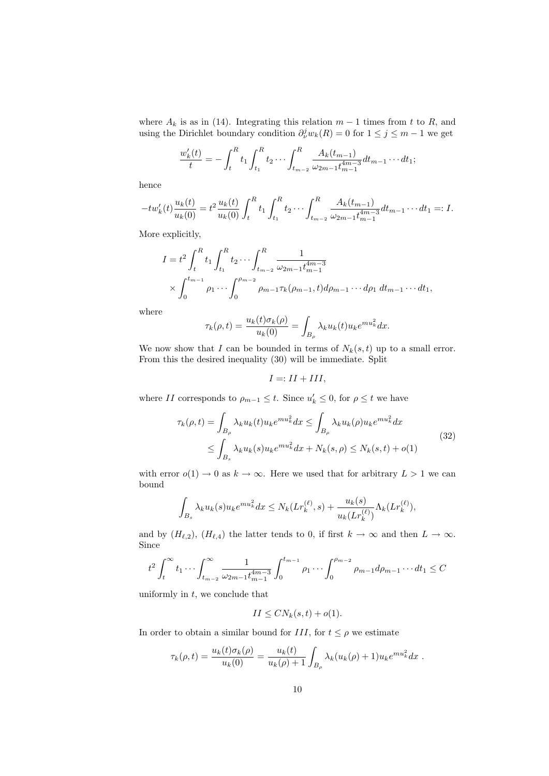where  $A_k$  is as in (14). Integrating this relation  $m-1$  times from t to R, and using the Dirichlet boundary condition  $\partial_{\nu}^{j} w_{k}(R) = 0$  for  $1 \leq j \leq m-1$  we get

$$
\frac{w'_k(t)}{t} = -\int_t^R t_1 \int_{t_1}^R t_2 \cdots \int_{t_{m-2}}^R \frac{A_k(t_{m-1})}{\omega_{2m-1} t_{m-1}^{4m-3}} dt_{m-1} \cdots dt_1;
$$

hence

$$
-tw'_{k}(t)\frac{u_{k}(t)}{u_{k}(0)}=t^{2}\frac{u_{k}(t)}{u_{k}(0)}\int_{t}^{R}t_{1}\int_{t_{1}}^{R}t_{2}\cdots\int_{t_{m-2}}^{R}\frac{A_{k}(t_{m-1})}{\omega_{2m-1}t_{m-1}^{4m-3}}dt_{m-1}\cdots dt_{1}=:I.
$$

More explicitly,

$$
I = t^2 \int_t^R t_1 \int_{t_1}^R t_2 \cdots \int_{t_{m-2}}^R \frac{1}{\omega_{2m-1} t_{m-1}^{4m-3}} \times \int_0^{t_{m-1}} \rho_1 \cdots \int_0^{\rho_{m-2}} \rho_{m-1} \tau_k(\rho_{m-1}, t) d\rho_{m-1} \cdots d\rho_1 dt_{m-1} \cdots dt_1,
$$

where

$$
\tau_k(\rho, t) = \frac{u_k(t)\sigma_k(\rho)}{u_k(0)} = \int_{B_\rho} \lambda_k u_k(t) u_k e^{mu_k^2} dx.
$$

We now show that I can be bounded in terms of  $N_k(s,t)$  up to a small error. From this the desired inequality (30) will be immediate. Split

$$
I =: II + III,
$$

where II corresponds to  $\rho_{m-1} \leq t$ . Since  $u'_k \leq 0$ , for  $\rho \leq t$  we have

$$
\tau_k(\rho, t) = \int_{B_\rho} \lambda_k u_k(t) u_k e^{mu_k^2} dx \le \int_{B_\rho} \lambda_k u_k(\rho) u_k e^{mu_k^2} dx
$$
  

$$
\le \int_{B_s} \lambda_k u_k(s) u_k e^{mu_k^2} dx + N_k(s, \rho) \le N_k(s, t) + o(1)
$$
\n(32)

with error  $o(1) \to 0$  as  $k \to \infty$ . Here we used that for arbitrary  $L > 1$  we can bound

$$
\int_{B_s} \lambda_k u_k(s) u_k e^{mu_k^2} dx \le N_k(Lr_k^{(\ell)}, s) + \frac{u_k(s)}{u_k(Lr_k^{(\ell)})} \Lambda_k(Lr_k^{(\ell)}),
$$

and by  $(H_{\ell,2}), (H_{\ell,4})$  the latter tends to 0, if first  $k \to \infty$  and then  $L \to \infty$ . Since

$$
t^{2} \int_{t}^{\infty} t_{1} \cdots \int_{t_{m-2}}^{\infty} \frac{1}{\omega_{2m-1} t_{m-1}^{4m-3}} \int_{0}^{t_{m-1}} \rho_{1} \cdots \int_{0}^{\rho_{m-2}} \rho_{m-1} d\rho_{m-1} \cdots dt_{1} \leq C
$$

uniformly in  $t$ , we conclude that

$$
II \leq CN_k(s,t) + o(1).
$$

In order to obtain a similar bound for  $III$ , for  $t \leq \rho$  we estimate

$$
\tau_k(\rho, t) = \frac{u_k(t)\sigma_k(\rho)}{u_k(0)} = \frac{u_k(t)}{u_k(\rho) + 1} \int_{B_\rho} \lambda_k(u_k(\rho) + 1) u_k e^{mu_k^2} dx.
$$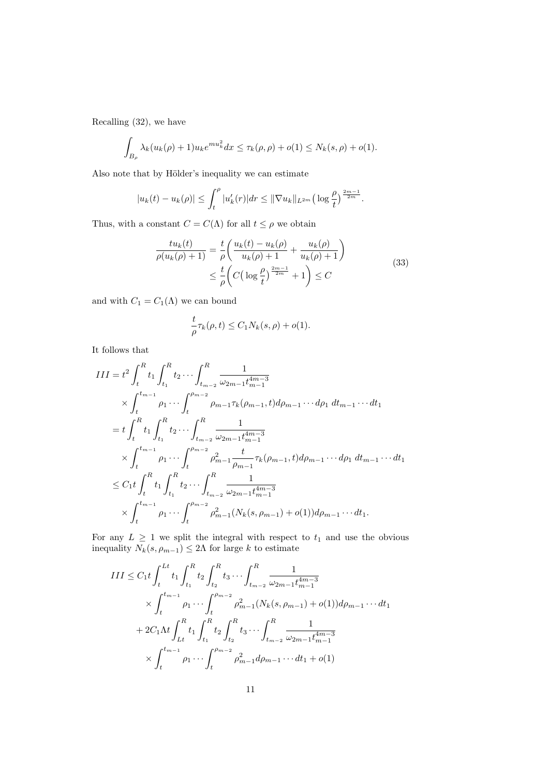Recalling (32), we have

$$
\int_{B_{\rho}} \lambda_k (u_k(\rho) + 1) u_k e^{m u_k^2} dx \le \tau_k(\rho, \rho) + o(1) \le N_k(s, \rho) + o(1).
$$

Also note that by Hölder's inequality we can estimate

$$
|u_k(t) - u_k(\rho)| \leq \int_t^{\rho} |u'_k(r)| dr \leq ||\nabla u_k||_{L^{2m}} \left(\log \frac{\rho}{t}\right)^{\frac{2m-1}{2m}}.
$$

Thus, with a constant  $C = C(\Lambda)$  for all  $t \le \rho$  we obtain

$$
\frac{tu_k(t)}{\rho(u_k(\rho)+1)} = \frac{t}{\rho} \left( \frac{u_k(t) - u_k(\rho)}{u_k(\rho)+1} + \frac{u_k(\rho)}{u_k(\rho)+1} \right) \n\leq \frac{t}{\rho} \left( C \left( \log \frac{\rho}{t} \right)^{\frac{2m-1}{2m}} + 1 \right) \leq C
$$
\n(33)

and with  $C_1 = C_1(\Lambda)$  we can bound

$$
\frac{t}{\rho}\tau_k(\rho,t) \le C_1 N_k(s,\rho) + o(1).
$$

It follows that

$$
III = t^{2} \int_{t}^{R} t_{1} \int_{t_{1}}^{R} t_{2} \cdots \int_{t_{m-2}}^{R} \frac{1}{\omega_{2m-1} t_{m-1}^{4m-3}}
$$
  
\n
$$
\times \int_{t}^{t_{m-1}} \rho_{1} \cdots \int_{t}^{\rho_{m-2}} \rho_{m-1} \tau_{k}(\rho_{m-1}, t) d\rho_{m-1} \cdots d\rho_{1} dt_{m-1} \cdots dt_{1}
$$
  
\n
$$
= t \int_{t}^{R} t_{1} \int_{t_{1}}^{R} t_{2} \cdots \int_{t_{m-2}}^{R} \frac{1}{\omega_{2m-1} t_{m-1}^{4m-3}}
$$
  
\n
$$
\times \int_{t}^{t_{m-1}} \rho_{1} \cdots \int_{t}^{\rho_{m-2}} \rho_{m-1}^{2} \frac{t}{\rho_{m-1}} \tau_{k}(\rho_{m-1}, t) d\rho_{m-1} \cdots d\rho_{1} dt_{m-1} \cdots dt_{1}
$$
  
\n
$$
\leq C_{1} t \int_{t}^{R} t_{1} \int_{t_{1}}^{R} t_{2} \cdots \int_{t_{m-2}}^{R} \frac{1}{\omega_{2m-1} t_{m-1}^{4m-3}}
$$
  
\n
$$
\times \int_{t}^{t_{m-1}} \rho_{1} \cdots \int_{t}^{\rho_{m-2}} \rho_{m-1}^{2} (N_{k}(s, \rho_{m-1}) + o(1)) d\rho_{m-1} \cdots dt_{1}.
$$

For any  $L \geq 1$  we split the integral with respect to  $t_1$  and use the obvious inequality  $N_k(s, \rho_{m-1}) \leq 2\Lambda$  for large k to estimate

$$
III \leq C_1 t \int_t^{Lt} t_1 \int_{t_1}^R t_2 \int_{t_2}^R t_3 \cdots \int_{t_{m-2}}^R \frac{1}{\omega_{2m-1} t_{m-1}^{4m-3}} \times \int_t^{t_{m-1}} \rho_1 \cdots \int_t^{\rho_{m-2}} \rho_{m-1}^2 (N_k(s, \rho_{m-1}) + o(1)) d\rho_{m-1} \cdots dt_1
$$
  
+ 
$$
2C_1 \Lambda t \int_{Lt}^R t_1 \int_{t_1}^R t_2 \int_{t_2}^R t_3 \cdots \int_{t_{m-2}}^R \frac{1}{\omega_{2m-1} t_{m-1}^{4m-3}} \times \int_t^{t_{m-1}} \rho_1 \cdots \int_t^{\rho_{m-2}} \rho_{m-1}^2 d\rho_{m-1} \cdots dt_1 + o(1)
$$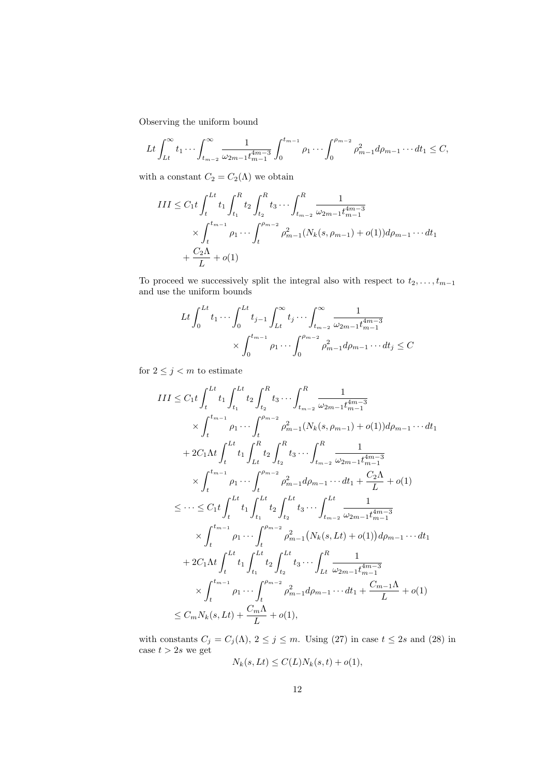Observing the uniform bound

$$
Lt \int_{Lt}^{\infty} t_1 \cdots \int_{t_{m-2}}^{\infty} \frac{1}{\omega_{2m-1} t_{m-1}^{4m-3}} \int_0^{t_{m-1}} \rho_1 \cdots \int_0^{\rho_{m-2}} \rho_{m-1}^2 d\rho_{m-1} \cdots dt_1 \leq C,
$$

with a constant  $C_2 = C_2(\Lambda)$  we obtain

$$
III \leq C_1 t \int_t^{Lt} t_1 \int_{t_1}^R t_2 \int_{t_2}^R t_3 \cdots \int_{t_{m-2}}^R \frac{1}{\omega_{2m-1} t_{m-1}^{4m-3}} \times \int_t^{t_{m-1}} \rho_1 \cdots \int_t^{\rho_{m-2}} \rho_{m-1}^2 (N_k(s, \rho_{m-1}) + o(1)) d\rho_{m-1} \cdots dt_1 + \frac{C_2 \Lambda}{L} + o(1)
$$

To proceed we successively split the integral also with respect to  $t_2, \ldots, t_{m-1}$ and use the uniform bounds

$$
Lt \int_0^{Lt} t_1 \cdots \int_0^{Lt} t_{j-1} \int_{Lt}^{\infty} t_j \cdots \int_{t_{m-2}}^{\infty} \frac{1}{\omega_{2m-1} t_{m-1}^{4m-3}} \times \int_0^{t_{m-1}} \rho_1 \cdots \int_0^{\rho_{m-2}} \rho_{m-1}^2 d\rho_{m-1} \cdots dt_j \leq C
$$

for  $2\leq j < m$  to estimate

$$
III \leq C_1 t \int_{t}^{Lt} t_1 \int_{t_1}^{Lt} t_2 \int_{t_2}^{R} t_3 \cdots \int_{t_{m-2}}^{R} \frac{1}{\omega_{2m-1} t_{m-1}^{4m-3}} \times \int_{t}^{t_{m-1}} \rho_1 \cdots \int_{t}^{\rho_{m-2}} \rho_{m-1}^2 (N_k(s, \rho_{m-1}) + o(1)) d\rho_{m-1} \cdots dt_1 + 2C_1 \Lambda t \int_{t}^{Lt} t_1 \int_{Lt}^{R} t_2 \int_{t_2}^{R} t_3 \cdots \int_{t_{m-2}}^{R} \frac{1}{\omega_{2m-1} t_{m-1}^{4m-3}} \times \int_{t}^{t_{m-1}} \rho_1 \cdots \int_{t}^{\rho_{m-2}} \rho_{m-1}^2 d\rho_{m-1} \cdots dt_1 + \frac{C_2 \Lambda}{L} + o(1)  $\leq \cdots \leq C_1 t \int_{t}^{Lt} t_1 \int_{t_1}^{Lt} t_2 \int_{t_2}^{Lt} t_3 \cdots \int_{t_{m-2}}^{Lt} \frac{1}{\omega_{2m-1} t_{m-1}^{4m-3}}  $\times \int_{t}^{t_{m-1}} \rho_1 \cdots \int_{t}^{\rho_{m-2}} \rho_{m-1}^2 (N_k(s, Lt) + o(1)) d\rho_{m-1} \cdots dt_1 + 2C_1 \Lambda t \int_{t}^{Lt} t_1 \int_{t_1}^{Lt} t_2 \int_{t_2}^{Lt} t_3 \cdots \int_{Lt}^{R} \frac{1}{\omega_{2m-1} t_{m-1}^{4m-3}}  $\times \int_{t}^{t_{m-1}} \rho_1 \cdots \int_{t}^{\rho_{m-2}} \rho_{m-1}^2 d\rho_{m-1} \cdots dt_1 + \frac{C_{m-1} \Lambda}{L} + o(1)  $\leq C_m N_k(s, Lt) + \frac{C_m \Lambda}{L} + o(1),$$$$
$$

with constants  $C_j = C_j(\Lambda)$ ,  $2 \leq j \leq m$ . Using (27) in case  $t \leq 2s$  and (28) in case  $t > 2s$  we get

$$
N_k(s, Lt) \le C(L)N_k(s,t) + o(1),
$$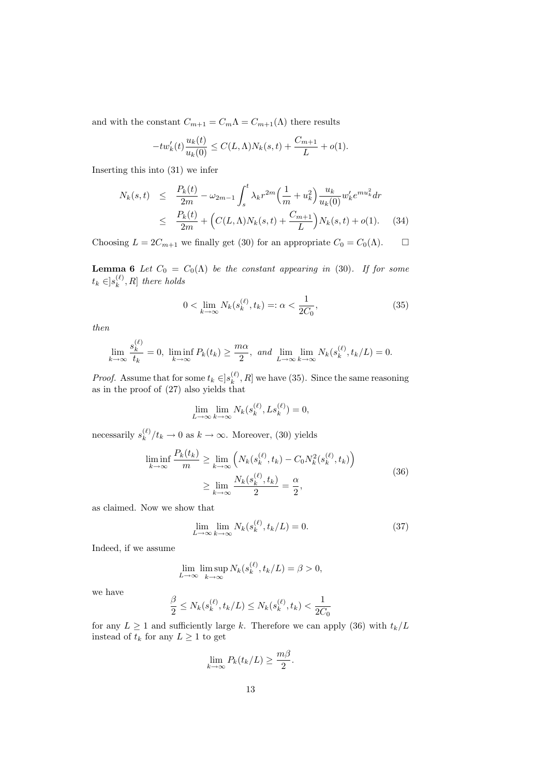and with the constant  $C_{m+1} = C_m \Lambda = C_{m+1}(\Lambda)$  there results

$$
-tw'_{k}(t)\frac{u_{k}(t)}{u_{k}(0)} \leq C(L,\Lambda)N_{k}(s,t) + \frac{C_{m+1}}{L} + o(1).
$$

Inserting this into (31) we infer

$$
N_k(s,t) \leq \frac{P_k(t)}{2m} - \omega_{2m-1} \int_s^t \lambda_k r^{2m} \left(\frac{1}{m} + u_k^2\right) \frac{u_k}{u_k(0)} w'_k e^{mu_k^2} dr
$$
  

$$
\leq \frac{P_k(t)}{2m} + \left(C(L,\Lambda)N_k(s,t) + \frac{C_{m+1}}{L}\right) N_k(s,t) + o(1). \quad (34)
$$

Choosing  $L = 2C_{m+1}$  we finally get (30) for an appropriate  $C_0 = C_0(\Lambda)$ .  $\Box$ 

**Lemma 6** Let  $C_0 = C_0(\Lambda)$  be the constant appearing in (30). If for some  $t_k \in ]s_k^{(\ell)}$  $k^{(\ell)}$ , R] there holds

$$
0 < \lim_{k \to \infty} N_k(s_k^{(\ell)}, t_k) =: \alpha < \frac{1}{2C_0},\tag{35}
$$

then

$$
\lim_{k \to \infty} \frac{s_k^{(\ell)}}{t_k} = 0, \liminf_{k \to \infty} P_k(t_k) \ge \frac{m\alpha}{2}, \text{ and } \lim_{L \to \infty} \lim_{k \to \infty} N_k(s_k^{(\ell)}, t_k/L) = 0.
$$

*Proof.* Assume that for some  $t_k \in ]s_k^{(\ell)}\rangle$  $\binom{k}{k}$ , R we have (35). Since the same reasoning as in the proof of (27) also yields that

$$
\lim_{L \to \infty} \lim_{k \to \infty} N_k(s_k^{(\ell)}, Ls_k^{(\ell)}) = 0,
$$

necessarily  $s_k^{(\ell)}$  $\binom{k}{k}$  / $t_k \to 0$  as  $k \to \infty$ . Moreover, (30) yields

$$
\liminf_{k \to \infty} \frac{P_k(t_k)}{m} \ge \lim_{k \to \infty} \left( N_k(s_k^{(\ell)}, t_k) - C_0 N_k^2(s_k^{(\ell)}, t_k) \right)
$$
\n
$$
\ge \lim_{k \to \infty} \frac{N_k(s_k^{(\ell)}, t_k)}{2} = \frac{\alpha}{2},
$$
\n(36)

as claimed. Now we show that

$$
\lim_{L \to \infty} \lim_{k \to \infty} N_k(s_k^{(\ell)}, t_k/L) = 0.
$$
\n(37)

Indeed, if we assume

$$
\lim_{L \to \infty} \limsup_{k \to \infty} N_k(s_k^{(\ell)}, t_k/L) = \beta > 0,
$$

we have

$$
\frac{\beta}{2} \le N_k(s_k^{(\ell)}, t_k/L) \le N_k(s_k^{(\ell)}, t_k) < \frac{1}{2C_0}
$$

for any  $L \geq 1$  and sufficiently large k. Therefore we can apply (36) with  $t_k/L$ instead of  $t_k$  for any  $L \geq 1$  to get

$$
\lim_{k \to \infty} P_k(t_k/L) \ge \frac{m\beta}{2}.
$$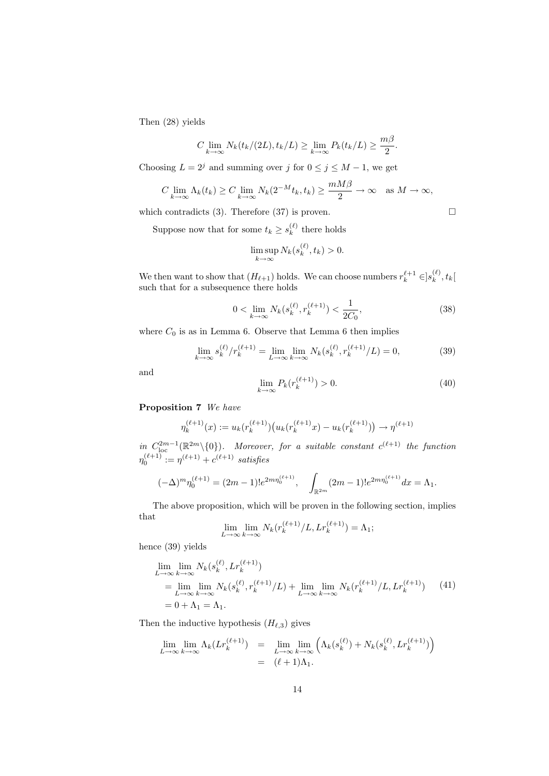Then (28) yields

$$
C \lim_{k \to \infty} N_k(t_k/(2L), t_k/L) \ge \lim_{k \to \infty} P_k(t_k/L) \ge \frac{m\beta}{2}.
$$

Choosing  $L = 2<sup>j</sup>$  and summing over j for  $0 \le j \le M - 1$ , we get

$$
C \lim_{k \to \infty} \Lambda_k(t_k) \ge C \lim_{k \to \infty} N_k(2^{-M}t_k, t_k) \ge \frac{mM\beta}{2} \to \infty \quad \text{as } M \to \infty,
$$

which contradicts (3). Therefore (37) is proven.  $\square$ 

Suppose now that for some  $t_k \geq s_k^{(\ell)}$  $\kappa_k^{(\ell)}$  there holds

$$
\limsup_{k \to \infty} N_k(s_k^{(\ell)}, t_k) > 0.
$$

We then want to show that  $(H_{\ell+1})$  holds. We can choose numbers  $r_k^{\ell+1} \in ]s_k^{(\ell)}$  $\binom{k}{k}$ ,  $t_k$ [ such that for a subsequence there holds

$$
0 < \lim_{k \to \infty} N_k(s_k^{(\ell)}, r_k^{(\ell+1)}) < \frac{1}{2C_0},\tag{38}
$$

where  $C_0$  is as in Lemma 6. Observe that Lemma 6 then implies

$$
\lim_{k \to \infty} s_k^{(\ell)} / r_k^{(\ell+1)} = \lim_{L \to \infty} \lim_{k \to \infty} N_k(s_k^{(\ell)}, r_k^{(\ell+1)} / L) = 0,
$$
\n(39)

and

$$
\lim_{k \to \infty} P_k(r_k^{(\ell+1)}) > 0. \tag{40}
$$

#### Proposition 7 We have

$$
\eta_k^{(\ell+1)}(x) := u_k(r_k^{(\ell+1)}) \big( u_k(r_k^{(\ell+1)}x) - u_k(r_k^{(\ell+1)}) \big) \to \eta^{(\ell+1)}
$$

in  $C_{\text{loc}}^{2m-1}(\mathbb{R}^{2m}\setminus\{0\})$ . Moreover, for a suitable constant  $c^{(\ell+1)}$  the function  $\eta_0^{(\ell+1)} := \eta^{(\ell+1)} + c^{(\ell+1)}$  satisfies

$$
(-\Delta)^m \eta_0^{(\ell+1)} = (2m-1)! e^{2m \eta_0^{(\ell+1)}}, \quad \int_{\mathbb{R}^{2m}} (2m-1)! e^{2m \eta_0^{(\ell+1)}} dx = \Lambda_1.
$$

The above proposition, which will be proven in the following section, implies that

$$
\lim_{L \to \infty} \lim_{k \to \infty} N_k(r_k^{(\ell+1)}/L, Lr_k^{(\ell+1)}) = \Lambda_1;
$$

hence (39) yields

$$
\lim_{L \to \infty} \lim_{k \to \infty} N_k(s_k^{(\ell)}, Lr_k^{(\ell+1)})
$$
\n
$$
= \lim_{L \to \infty} \lim_{k \to \infty} N_k(s_k^{(\ell)}, r_k^{(\ell+1)}/L) + \lim_{L \to \infty} \lim_{k \to \infty} N_k(r_k^{(\ell+1)}/L, Lr_k^{(\ell+1)}) \tag{41}
$$
\n
$$
= 0 + \Lambda_1 = \Lambda_1.
$$

Then the inductive hypothesis  $(H_{\ell,3})$  gives

$$
\lim_{L \to \infty} \lim_{k \to \infty} \Lambda_k(Lr_k^{(\ell+1)}) = \lim_{L \to \infty} \lim_{k \to \infty} \left( \Lambda_k(s_k^{(\ell)}) + N_k(s_k^{(\ell)}, Lr_k^{(\ell+1)}) \right)
$$

$$
= (\ell+1)\Lambda_1.
$$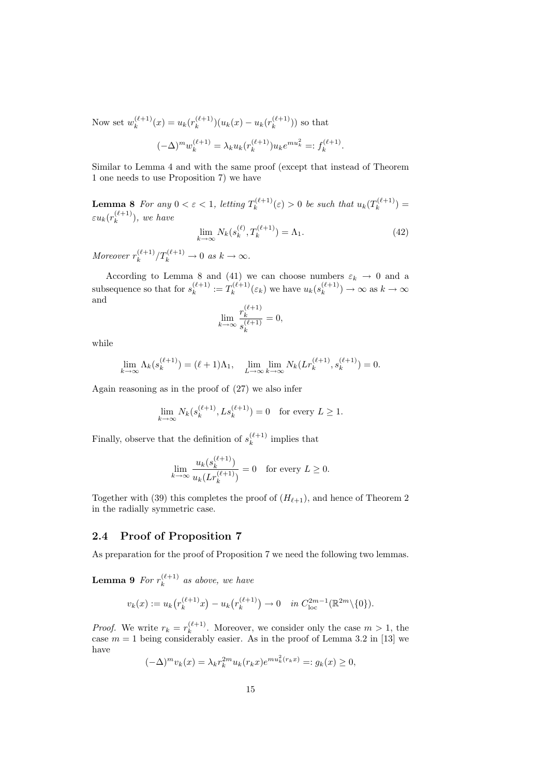Now set  $w_k^{(\ell+1)}$  $k^{(\ell+1)}(x) = u_k(r_k^{(\ell+1)})$  ${k^{(\ell+1)} \choose k} (u_k(x) - u_k(r_k^{(\ell+1)}))$  $\binom{k+1}{k}$  so that

$$
(-\Delta)^m w_k^{(\ell+1)} = \lambda_k u_k(r_k^{(\ell+1)}) u_k e^{m u_k^2} =: f_k^{(\ell+1)}.
$$

Similar to Lemma 4 and with the same proof (except that instead of Theorem 1 one needs to use Proposition 7) we have

**Lemma 8** For any  $0 < \varepsilon < 1$ , letting  $T_k^{(\ell+1)}$  $h_k^{(\ell+1)}(\varepsilon) > 0$  be such that  $u_k(T_k^{(\ell+1)})$  $\binom{k+1}{k} =$  $\varepsilon u_k (r_k^{(\ell+1)}$  $\binom{k+1}{k}$ , we have

$$
\lim_{k \to \infty} N_k(s_k^{(\ell)}, T_k^{(\ell+1)}) = \Lambda_1.
$$
\n(42)

Moreover  $r_k^{(\ell+1)}$  $\binom{\ell+1}{k} T_k^{(\ell+1)} \to 0 \text{ as } k \to \infty.$ 

According to Lemma 8 and (41) we can choose numbers  $\varepsilon_k \to 0$  and a subsequence so that for  $s_k^{(\ell+1)}$  $x_k^{(\ell+1)} := T_k^{(\ell+1)}$  $u_k^{(\ell+1)}(\varepsilon_k)$  we have  $u_k(s_k^{(\ell+1)})$  $\binom{k+1}{k} \rightarrow \infty$  as  $k \rightarrow \infty$ and

$$
\lim_{k \to \infty} \frac{r_k^{(\ell+1)}}{s_k^{(\ell+1)}} = 0,
$$

while

$$
\lim_{k \to \infty} \Lambda_k(s_k^{(\ell+1)}) = (\ell+1)\Lambda_1, \quad \lim_{L \to \infty} \lim_{k \to \infty} N_k(Lr_k^{(\ell+1)}, s_k^{(\ell+1)}) = 0.
$$

Again reasoning as in the proof of (27) we also infer

$$
\lim_{k \to \infty} N_k(s_k^{(\ell+1)}, L s_k^{(\ell+1)}) = 0 \text{ for every } L \ge 1.
$$

Finally, observe that the definition of  $s_k^{(\ell+1)}$  $\int_{k}^{(k+1)}$  implies that

$$
\lim_{k \to \infty} \frac{u_k(s_k^{(\ell+1)})}{u_k(Lr_k^{(\ell+1)})} = 0 \quad \text{for every } L \ge 0.
$$

Together with (39) this completes the proof of  $(H_{\ell+1})$ , and hence of Theorem 2 in the radially symmetric case.

#### 2.4 Proof of Proposition 7

As preparation for the proof of Proposition 7 we need the following two lemmas.

Lemma 9 For  $r_k^{(\ell+1)}$  $\binom{k+1}{k}$  as above, we have

$$
v_k(x) := u_k(r_k^{(\ell+1)}x) - u_k(r_k^{(\ell+1)}) \to 0 \quad in \ C_{\text{loc}}^{2m-1}(\mathbb{R}^{2m}\backslash\{0\}).
$$

*Proof.* We write  $r_k = r_k^{(\ell+1)}$  $\kappa_k^{(k+1)}$ . Moreover, we consider only the case  $m > 1$ , the case  $m = 1$  being considerably easier. As in the proof of Lemma 3.2 in [13] we have

$$
(-\Delta)^m v_k(x) = \lambda_k r_k^{2m} u_k(r_k x) e^{m u_k^2(r_k x)} =: g_k(x) \ge 0,
$$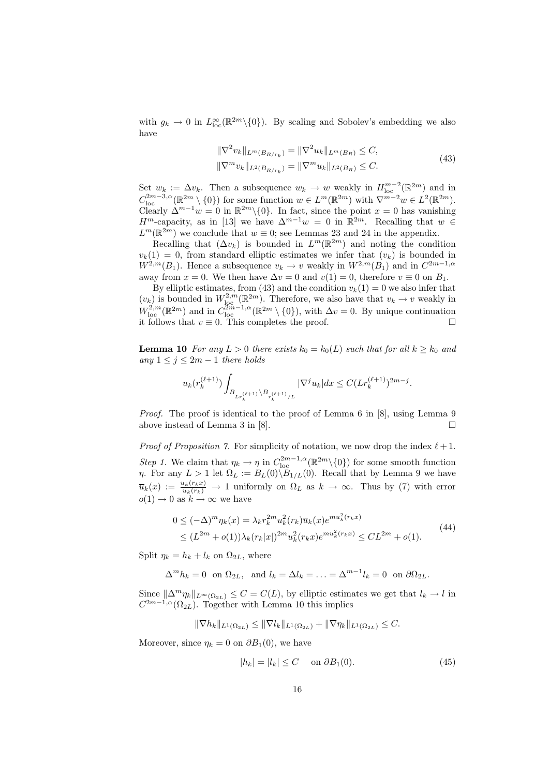with  $g_k \to 0$  in  $L^{\infty}_{loc}(\mathbb{R}^{2m}\setminus{0})$ . By scaling and Sobolev's embedding we also have

$$
\|\nabla^2 v_k\|_{L^m(B_{R/r_k})} = \|\nabla^2 u_k\|_{L^m(B_R)} \le C,
$$
  

$$
\|\nabla^m v_k\|_{L^2(B_{R/r_k})} = \|\nabla^m u_k\|_{L^2(B_R)} \le C.
$$
 (43)

Set  $w_k := \Delta v_k$ . Then a subsequence  $w_k \to w$  weakly in  $H_{\text{loc}}^{m-2}(\mathbb{R}^{2m})$  and in  $C_{\text{loc}}^{2m-3,\alpha}(\mathbb{R}^{2m}\setminus\{0\})$  for some function  $w\in L^m(\mathbb{R}^{2m})$  with  $\nabla^{m-2}w\in L^2(\mathbb{R}^{2m})$ . Clearly  $\Delta^{m-1}w = 0$  in  $\mathbb{R}^{2m}\setminus\{0\}$ . In fact, since the point  $x = 0$  has vanishing  $H^m$ -capacity, as in [13] we have  $\Delta^{m-1}w = 0$  in  $\mathbb{R}^{2m}$ . Recalling that  $w \in$  $L^m(\mathbb{R}^{2m})$  we conclude that  $w \equiv 0$ ; see Lemmas 23 and 24 in the appendix.

Recalling that  $(\Delta v_k)$  is bounded in  $L^m(\mathbb{R}^{2m})$  and noting the condition  $v_k(1) = 0$ , from standard elliptic estimates we infer that  $(v_k)$  is bounded in  $W^{2,m}(B_1)$ . Hence a subsequence  $v_k \to v$  weakly in  $W^{2,m}(B_1)$  and in  $C^{2m-1,\alpha}$ away from  $x = 0$ . We then have  $\Delta v = 0$  and  $v(1) = 0$ , therefore  $v \equiv 0$  on  $B_1$ .

By elliptic estimates, from (43) and the condition  $v_k(1) = 0$  we also infer that  $(v_k)$  is bounded in  $W^{2,m}_{loc}(\mathbb{R}^{2m})$ . Therefore, we also have that  $v_k \to v$  weakly in  $W_{\text{loc}}^{2,m}(\mathbb{R}^{2m})$  and in  $C_{\text{loc}}^{2m-1,\alpha}(\mathbb{R}^{2m}\setminus\{0\})$ , with  $\Delta v=0$ . By unique continuation it follows that  $v \equiv 0$ . This completes the proof.  $\Box$ 

**Lemma 10** For any  $L > 0$  there exists  $k_0 = k_0(L)$  such that for all  $k \geq k_0$  and any  $1 \leq j \leq 2m - 1$  there holds

$$
u_k(r_k^{(\ell+1)})\int_{B_{L_r(\ell+1)}\backslash B_{r_k^{(\ell+1)}/L}}|\nabla^j u_k|dx\leq C (Lr_k^{(\ell+1)})^{2m-j}.
$$

Proof. The proof is identical to the proof of Lemma 6 in [8], using Lemma 9 above instead of Lemma 3 in [8].  $\Box$ 

*Proof of Proposition 7.* For simplicity of notation, we now drop the index  $\ell + 1$ . Step 1. We claim that  $\eta_k \to \eta$  in  $C_{\text{loc}}^{2m-1,\alpha}(\mathbb{R}^{2m}\setminus\{0\})$  for some smooth function η. For any  $L > 1$  let  $\Omega_L := B_L(0) \backslash B_{1/L}(0)$ . Recall that by Lemma 9 we have  $\overline{u}_k(x) := \frac{u_k(r_k x)}{u_k(r_k)} \to 1$  uniformly on  $\Omega_L$  as  $k \to \infty$ . Thus by (7) with error  $o(1) \rightarrow 0$  as  $k \rightarrow \infty$  we have

$$
0 \le (-\Delta)^m \eta_k(x) = \lambda_k r_k^{2m} u_k^2(r_k) \overline{u}_k(x) e^{m u_k^2(r_k x)}
$$
  
 
$$
\le (L^{2m} + o(1)) \lambda_k(r_k|x|)^{2m} u_k^2(r_k x) e^{m u_k^2(r_k x)} \le CL^{2m} + o(1).
$$
 (44)

Split  $\eta_k = h_k + l_k$  on  $\Omega_{2L}$ , where

$$
\Delta^m h_k = 0 \text{ on } \Omega_{2L}, \text{ and } l_k = \Delta l_k = \ldots = \Delta^{m-1} l_k = 0 \text{ on } \partial \Omega_{2L}.
$$

Since  $\|\Delta^m \eta_k\|_{L^\infty(\Omega_{2L})} \leq C = C(L)$ , by elliptic estimates we get that  $l_k \to l$  in  $C^{2m-1,\alpha}(\Omega_{2L})$ . Together with Lemma 10 this implies

$$
\|\nabla h_k\|_{L^1(\Omega_{2L})} \le \|\nabla l_k\|_{L^1(\Omega_{2L})} + \|\nabla \eta_k\|_{L^1(\Omega_{2L})} \le C.
$$

Moreover, since  $\eta_k = 0$  on  $\partial B_1(0)$ , we have

$$
|h_k| = |l_k| \le C \quad \text{on } \partial B_1(0). \tag{45}
$$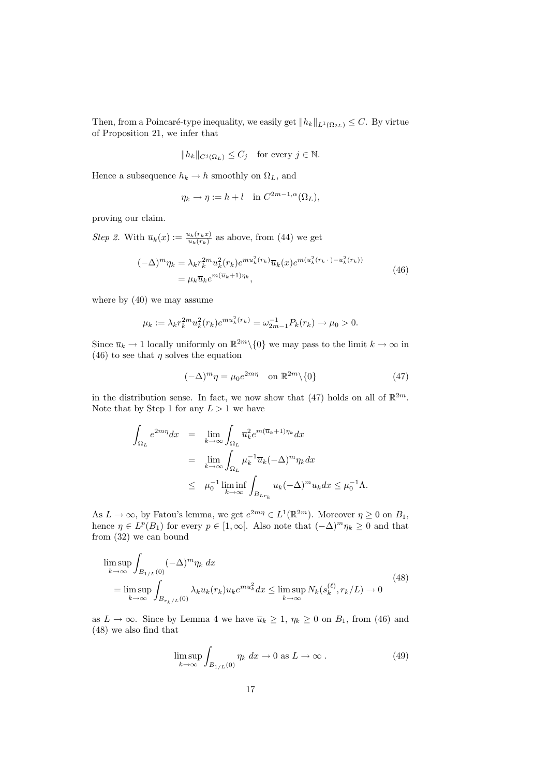Then, from a Poincaré-type inequality, we easily get  $||h_k||_{L^1(\Omega_{2L})} \leq C$ . By virtue of Proposition 21, we infer that

$$
||h_k||_{C^j(\Omega_L)} \le C_j \quad \text{for every } j \in \mathbb{N}.
$$

Hence a subsequence  $h_k \to h$  smoothly on  $\Omega_L$ , and

$$
\eta_k \to \eta := h + l \quad \text{in } C^{2m-1,\alpha}(\Omega_L),
$$

proving our claim.

*Step 2.* With  $\overline{u}_k(x) := \frac{u_k(r_k x)}{u_k(r_k)}$  as above, from (44) we get  $(-\Delta)^m \eta_k = \lambda_k r$  $\lambda_k^{2m} u_k^2(r_k) e^{m u_k^2(r_k)} \overline{u}_k(x) e^{m (u_k^2(r_k \, \cdot \, ) - u_k^2(r_k))}$ 

$$
(-\Delta)^m \eta_k = \lambda_k r_k^{2m} u_k^2(r_k) e^{mu_k(r_k)} \overline{u}_k(x) e^{m(u_k(r_k \cdot) - u_k^2(r_k))}
$$
  
=  $\mu_k \overline{u}_k e^{m(\overline{u}_k + 1)\eta_k},$  (46)

where by (40) we may assume

$$
\mu_k := \lambda_k r_k^{2m} u_k^2(r_k) e^{m u_k^2(r_k)} = \omega_{2m-1}^{-1} P_k(r_k) \to \mu_0 > 0.
$$

Since  $\overline{u}_k \to 1$  locally uniformly on  $\mathbb{R}^{2m} \setminus \{0\}$  we may pass to the limit  $k \to \infty$  in (46) to see that  $\eta$  solves the equation

$$
(-\Delta)^m \eta = \mu_0 e^{2m\eta} \quad \text{on } \mathbb{R}^{2m} \backslash \{0\} \tag{47}
$$

in the distribution sense. In fact, we now show that (47) holds on all of  $\mathbb{R}^{2m}$ . Note that by Step 1 for any  $L > 1$  we have

$$
\int_{\Omega_L} e^{2m\eta} dx = \lim_{k \to \infty} \int_{\Omega_L} \overline{u}_k^2 e^{m(\overline{u}_k + 1)\eta_k} dx
$$
  
\n
$$
= \lim_{k \to \infty} \int_{\Omega_L} \mu_k^{-1} \overline{u}_k (-\Delta)^m \eta_k dx
$$
  
\n
$$
\leq \mu_0^{-1} \liminf_{k \to \infty} \int_{B_{Lr_k}} u_k (-\Delta)^m u_k dx \leq \mu_0^{-1} \Lambda.
$$

As  $L \to \infty$ , by Fatou's lemma, we get  $e^{2m\eta} \in L^1(\mathbb{R}^{2m})$ . Moreover  $\eta \geq 0$  on  $B_1$ , hence  $\eta \in L^p(B_1)$  for every  $p \in [1,\infty[$ . Also note that  $(-\Delta)^m \eta_k \geq 0$  and that from (32) we can bound

$$
\limsup_{k \to \infty} \int_{B_{1/L}(0)} (-\Delta)^m \eta_k dx
$$
\n
$$
= \limsup_{k \to \infty} \int_{B_{r_k/L}(0)} \lambda_k u_k(r_k) u_k e^{m u_k^2} dx \le \limsup_{k \to \infty} N_k(s_k^{(\ell)}, r_k/L) \to 0
$$
\n(48)

as  $L \to \infty$ . Since by Lemma 4 we have  $\overline{u}_k \geq 1$ ,  $\eta_k \geq 0$  on  $B_1$ , from (46) and (48) we also find that

$$
\limsup_{k \to \infty} \int_{B_{1/L}(0)} \eta_k \, dx \to 0 \text{ as } L \to \infty.
$$
 (49)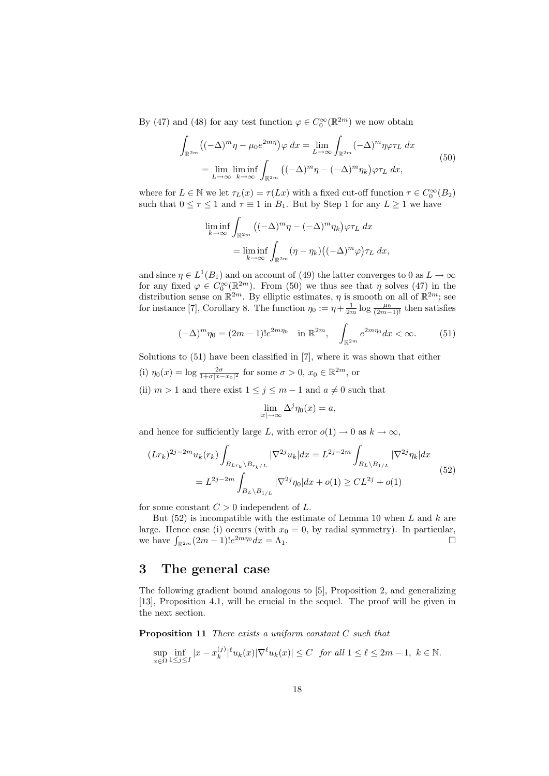By (47) and (48) for any test function  $\varphi \in C_0^{\infty}(\mathbb{R}^{2m})$  we now obtain

$$
\int_{\mathbb{R}^{2m}} ((-\Delta)^m \eta - \mu_0 e^{2m\eta}) \varphi \, dx = \lim_{L \to \infty} \int_{\mathbb{R}^{2m}} (-\Delta)^m \eta \varphi \tau_L \, dx
$$
\n
$$
= \lim_{L \to \infty} \liminf_{k \to \infty} \int_{\mathbb{R}^{2m}} ((-\Delta)^m \eta - (-\Delta)^m \eta_k) \varphi \tau_L \, dx,\tag{50}
$$

where for  $L \in \mathbb{N}$  we let  $\tau_L(x) = \tau(Lx)$  with a fixed cut-off function  $\tau \in C_0^{\infty}(B_2)$ such that  $0 \leq \tau \leq 1$  and  $\tau \equiv 1$  in  $B_1$ . But by Step 1 for any  $L \geq 1$  we have

$$
\liminf_{k \to \infty} \int_{\mathbb{R}^{2m}} \left( (-\Delta)^m \eta - (-\Delta)^m \eta_k \right) \varphi \tau_L \, dx
$$

$$
= \liminf_{k \to \infty} \int_{\mathbb{R}^{2m}} (\eta - \eta_k) \left( (-\Delta)^m \varphi \right) \tau_L \, dx,
$$

and since  $\eta \in L^1(B_1)$  and on account of (49) the latter converges to 0 as  $L \to \infty$ for any fixed  $\varphi \in C_0^{\infty}(\mathbb{R}^{2m})$ . From (50) we thus see that  $\eta$  solves (47) in the distribution sense on  $\mathbb{R}^{2m}$ . By elliptic estimates,  $\eta$  is smooth on all of  $\mathbb{R}^{2m}$ ; see for instance [7], Corollary 8. The function  $\eta_0 := \eta + \frac{1}{2m} \log \frac{\mu_0}{(2m-1)!}$  then satisfies

$$
(-\Delta)^m \eta_0 = (2m - 1)! e^{2m\eta_0} \quad \text{in } \mathbb{R}^{2m}, \quad \int_{\mathbb{R}^{2m}} e^{2m\eta_0} dx < \infty. \tag{51}
$$

Solutions to (51) have been classified in [7], where it was shown that either

- (i)  $\eta_0(x) = \log \frac{2\sigma}{1+\sigma|x-x_0|^2}$  for some  $\sigma > 0$ ,  $x_0 \in \mathbb{R}^{2m}$ , or
- (ii)  $m > 1$  and there exist  $1 \leq j \leq m-1$  and  $a \neq 0$  such that

$$
\lim_{|x| \to \infty} \Delta^j \eta_0(x) = a,
$$

and hence for sufficiently large L, with error  $o(1) \rightarrow 0$  as  $k \rightarrow \infty$ ,

$$
(Lr_k)^{2j-2m} u_k(r_k) \int_{B_{Lr_k} \backslash B_{r_k/L}} |\nabla^{2j} u_k| dx = L^{2j-2m} \int_{B_L \backslash B_{1/L}} |\nabla^{2j} \eta_k| dx
$$
  
=  $L^{2j-2m} \int_{B_L \backslash B_{1/L}} |\nabla^{2j} \eta_0| dx + o(1) \geq CL^{2j} + o(1)$  (52)

for some constant  $C > 0$  independent of L.

But  $(52)$  is incompatible with the estimate of Lemma 10 when L and k are large. Hence case (i) occurs (with  $x_0 = 0$ , by radial symmetry). In particular, we have  $\int_{\mathbb{R}^{2m}} (2m-1)! e^{2m\eta_0} dx = \Lambda_1$ .

# 3 The general case

The following gradient bound analogous to [5], Proposition 2, and generalizing [13], Proposition 4.1, will be crucial in the sequel. The proof will be given in the next section.

Proposition 11 There exists a uniform constant C such that

$$
\sup_{x\in\Omega} \inf_{1\leq j\leq I} |x - x_k^{(j)}|^\ell u_k(x) |\nabla^\ell u_k(x)| \leq C \quad \text{for all } 1 \leq \ell \leq 2m-1, \ k \in \mathbb{N}.
$$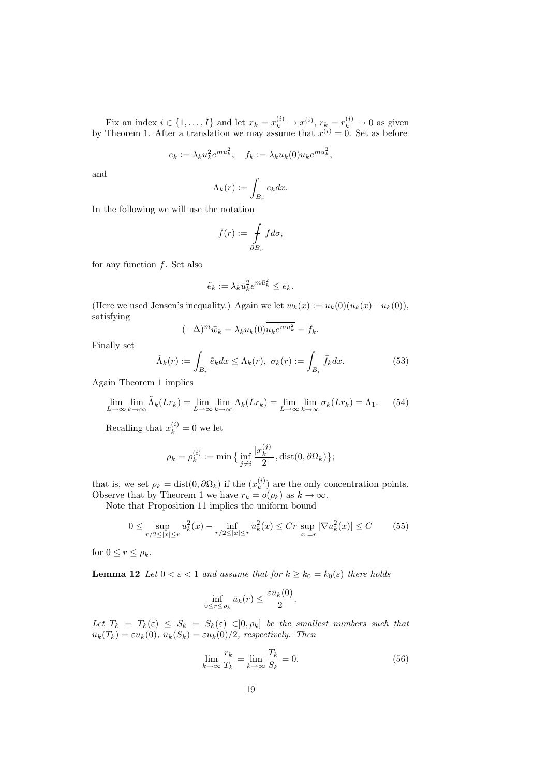Fix an index  $i \in \{1, ..., I\}$  and let  $x_k = x_k^{(i)} \rightarrow x^{(i)}$ ,  $r_k = r_k^{(i)} \rightarrow 0$  as given by Theorem 1. After a translation we may assume that  $x^{(i)} = 0$ . Set as before

$$
e_k := \lambda_k u_k^2 e^{mu_k^2}, \quad f_k := \lambda_k u_k(0) u_k e^{mu_k^2},
$$

and

$$
\Lambda_k(r) := \int_{B_r} e_k dx.
$$

In the following we will use the notation

$$
\bar{f}(r) := \int\limits_{\partial B_r} f d\sigma,
$$

for any function  $f$ . Set also

$$
\tilde{e}_k := \lambda_k \bar{u}_k^2 e^{m \bar{u}_k^2} \le \bar{e}_k.
$$

(Here we used Jensen's inequality.) Again we let  $w_k(x) := u_k(0)(u_k(x) - u_k(0)),$ satisfying

$$
(-\Delta)^m \bar{w}_k = \lambda_k u_k(0) \overline{u_k e^{mu_k^2}} = \bar{f}_k.
$$

Finally set

$$
\tilde{\Lambda}_k(r) := \int_{B_r} \tilde{e}_k dx \le \Lambda_k(r), \ \sigma_k(r) := \int_{B_r} \bar{f}_k dx. \tag{53}
$$

Again Theorem 1 implies

$$
\lim_{L \to \infty} \lim_{k \to \infty} \tilde{\Lambda}_k(Lr_k) = \lim_{L \to \infty} \lim_{k \to \infty} \Lambda_k(Lr_k) = \lim_{L \to \infty} \lim_{k \to \infty} \sigma_k(Lr_k) = \Lambda_1. \tag{54}
$$

Recalling that  $x_k^{(i)} = 0$  we let

$$
\rho_k = \rho_k^{(i)} := \min\big\{\inf_{j \neq i} \frac{|x_k^{(j)}|}{2}, \text{dist}(0, \partial \Omega_k)\big\};
$$

that is, we set  $\rho_k = \text{dist}(0, \partial \Omega_k)$  if the  $(x_k^{(i)})$  $\binom{k}{k}$  are the only concentration points. Observe that by Theorem 1 we have  $r_k = o(\rho_k)$  as  $k \to \infty$ .

Note that Proposition 11 implies the uniform bound

$$
0 \le \sup_{r/2 \le |x| \le r} u_k^2(x) - \inf_{r/2 \le |x| \le r} u_k^2(x) \le Cr \sup_{|x|=r} |\nabla u_k^2(x)| \le C \tag{55}
$$

for  $0 \leq r \leq \rho_k$ .

**Lemma 12** Let  $0 < \varepsilon < 1$  and assume that for  $k \geq k_0 = k_0(\varepsilon)$  there holds

$$
\inf_{0 \le r \le \rho_k} \bar{u}_k(r) \le \frac{\varepsilon \bar{u}_k(0)}{2}.
$$

Let  $T_k = T_k(\varepsilon) \leq S_k = S_k(\varepsilon) \in ]0, \rho_k]$  be the smallest numbers such that  $\bar{u}_k(T_k) = \varepsilon u_k(0), \bar{u}_k(S_k) = \varepsilon u_k(0)/2$ , respectively. Then

$$
\lim_{k \to \infty} \frac{r_k}{T_k} = \lim_{k \to \infty} \frac{T_k}{S_k} = 0.
$$
\n(56)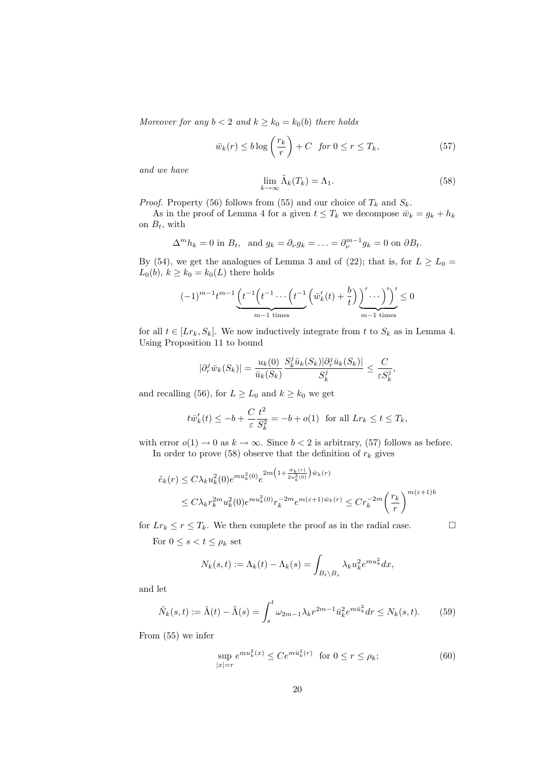Moreover for any  $b < 2$  and  $k \ge k_0 = k_0(b)$  there holds

$$
\bar{w}_k(r) \le b \log \left(\frac{r_k}{r}\right) + C \quad \text{for } 0 \le r \le T_k,\tag{57}
$$

and we have

$$
\lim_{k \to \infty} \tilde{\Lambda}_k(T_k) = \Lambda_1. \tag{58}
$$

*Proof.* Property (56) follows from (55) and our choice of  $T_k$  and  $S_k$ .

As in the proof of Lemma 4 for a given  $t \leq T_k$  we decompose  $\bar{w}_k = g_k + h_k$ on  $B_t$ , with

$$
\Delta^m h_k = 0 \text{ in } B_t, \text{ and } g_k = \partial_\nu g_k = \ldots = \partial_\nu^{m-1} g_k = 0 \text{ on } \partial B_t.
$$

By (54), we get the analogues of Lemma 3 and of (22); that is, for  $L \ge L_0 =$  $L_0(b), k \geq k_0 = k_0(L)$  there holds

$$
(-1)^{m-1}t^{m-1}\underbrace{\left(t^{-1}\left(t^{-1}\cdots\left(t^{-1}\left(\bar{w}_k'(t)+\frac{b}{t}\right)\right)'\cdots\right)'\right)}_{m-1 \text{ times}}\leq 0
$$

for all  $t \in [Lr_k, S_k]$ . We now inductively integrate from t to  $S_k$  as in Lemma 4. Using Proposition 11 to bound

$$
|\partial_r^j\bar{w}_k(S_k)|=\frac{u_k(0)}{\bar{u}_k(S_k)}\frac{S_k^j\bar{u}_k(S_k)|\partial_r^j\bar{u}_k(S_k)|}{S_k^j}\leq \frac{C}{\varepsilon S_k^j},
$$

and recalling (56), for  $L \ge L_0$  and  $k \ge k_0$  we get

$$
t\bar{w}'_k(t) \le -b + \frac{C}{\varepsilon} \frac{t^2}{S_k^2} = -b + o(1) \text{ for all } Lr_k \le t \le T_k,
$$

with error  $o(1) \to 0$  as  $k \to \infty$ . Since  $b < 2$  is arbitrary, (57) follows as before. In order to prove (58) observe that the definition of  $r_k$  gives

$$
\tilde{e}_k(r) \le C\lambda_k u_k^2(0)e^{mu_k^2(0)}e^{2m\left(1+\frac{\tilde{w}_k(r)}{2u_k^2(0)}\right)\bar{w}_k(r)}
$$
\n
$$
\le C\lambda_k r_k^{2m}u_k^2(0)e^{mu_k^2(0)}r_k^{-2m}e^{m(\varepsilon+1)\bar{w}_k(r)} \le Cr_k^{-2m}\left(\frac{r_k}{r}\right)^{m(\varepsilon+1)b}
$$

for  $Lr_k \le r \le T_k$ . We then complete the proof as in the radial case.

 $\mathcal{L}$ 

For  $0 \leq s < t \leq \rho_k$  set

$$
N_k(s,t) := \Lambda_k(t) - \Lambda_k(s) = \int_{B_t \backslash B_s} \lambda_k u_k^2 e^{mu_k^2} dx,
$$

and let

$$
\tilde{N}_k(s,t) := \tilde{\Lambda}(t) - \tilde{\Lambda}(s) = \int_s^t \omega_{2m-1} \lambda_k r^{2m-1} \bar{u}_k^2 e^{m \bar{u}_k^2} dr \le N_k(s,t). \tag{59}
$$

From (55) we infer

$$
\sup_{|x|=r} e^{mu_k^2(x)} \le Ce^{m\bar{u}_k^2(r)} \quad \text{for } 0 \le r \le \rho_k; \tag{60}
$$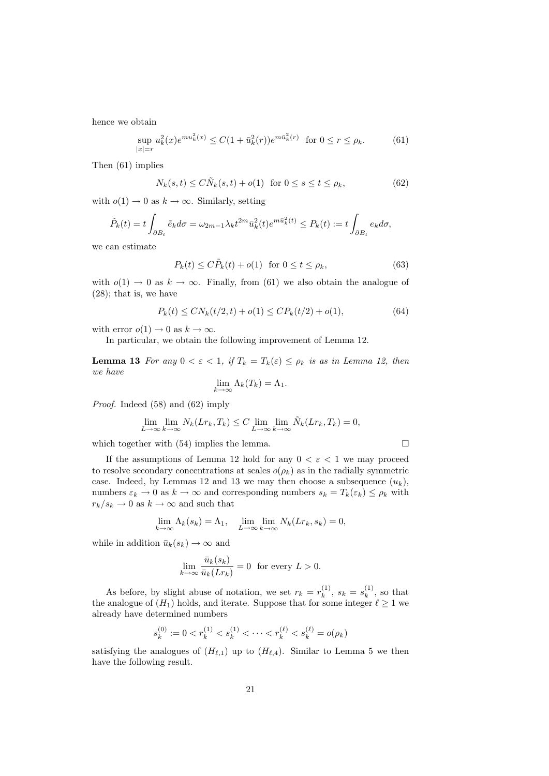hence we obtain

$$
\sup_{|x|=r} u_k^2(x)e^{mu_k^2(x)} \le C(1+\bar{u}_k^2(r))e^{m\bar{u}_k^2(r)} \text{ for } 0 \le r \le \rho_k. \tag{61}
$$

Then (61) implies

$$
N_k(s,t) \le C\tilde{N}_k(s,t) + o(1) \quad \text{for } 0 \le s \le t \le \rho_k,\tag{62}
$$

with  $o(1) \rightarrow 0$  as  $k \rightarrow \infty$ . Similarly, setting

$$
\tilde{P}_k(t) = t \int_{\partial B_t} \tilde{e}_k d\sigma = \omega_{2m-1} \lambda_k t^{2m} \bar{u}_k^2(t) e^{m \bar{u}_k^2(t)} \le P_k(t) := t \int_{\partial B_t} e_k d\sigma,
$$

we can estimate

$$
P_k(t) \le C\tilde{P}_k(t) + o(1) \quad \text{for } 0 \le t \le \rho_k,\tag{63}
$$

with  $o(1) \rightarrow 0$  as  $k \rightarrow \infty$ . Finally, from (61) we also obtain the analogue of (28); that is, we have

$$
P_k(t) \le CN_k(t/2, t) + o(1) \le CP_k(t/2) + o(1),\tag{64}
$$

with error  $o(1) \to 0$  as  $k \to \infty$ .

In particular, we obtain the following improvement of Lemma 12.

**Lemma 13** For any  $0 < \varepsilon < 1$ , if  $T_k = T_k(\varepsilon) \leq \rho_k$  is as in Lemma 12, then we have

$$
\lim_{k \to \infty} \Lambda_k(T_k) = \Lambda_1.
$$

Proof. Indeed (58) and (62) imply

$$
\lim_{L \to \infty} \lim_{k \to \infty} N_k(Lr_k, T_k) \le C \lim_{L \to \infty} \lim_{k \to \infty} \tilde{N}_k(Lr_k, T_k) = 0,
$$

which together with  $(54)$  implies the lemma.

If the assumptions of Lemma 12 hold for any  $0 < \varepsilon < 1$  we may proceed to resolve secondary concentrations at scales  $o(\rho_k)$  as in the radially symmetric case. Indeed, by Lemmas 12 and 13 we may then choose a subsequence  $(u_k)$ , numbers  $\varepsilon_k \to 0$  as  $k \to \infty$  and corresponding numbers  $s_k = T_k(\varepsilon_k) \leq \rho_k$  with  $r_k/s_k \rightarrow 0$  as  $k \rightarrow \infty$  and such that

$$
\lim_{k \to \infty} \Lambda_k(s_k) = \Lambda_1, \quad \lim_{L \to \infty} \lim_{k \to \infty} N_k(Lr_k, s_k) = 0,
$$

while in addition  $\bar{u}_k(s_k) \to \infty$  and

$$
\lim_{k \to \infty} \frac{\bar{u}_k(s_k)}{\bar{u}_k(Lr_k)} = 0 \text{ for every } L > 0.
$$

As before, by slight abuse of notation, we set  $r_k = r_k^{(1)}$  $s_k^{(1)}, s_k = s_k^{(1)}$  $\binom{1}{k}$ , so that the analogue of  $(H_1)$  holds, and iterate. Suppose that for some integer  $\ell \geq 1$  we already have determined numbers

$$
s_k^{(0)} := 0 < r_k^{(1)} < s_k^{(1)} < \dots < r_k^{(\ell)} < s_k^{(\ell)} = o(\rho_k)
$$

satisfying the analogues of  $(H_{\ell,1})$  up to  $(H_{\ell,4})$ . Similar to Lemma 5 we then have the following result.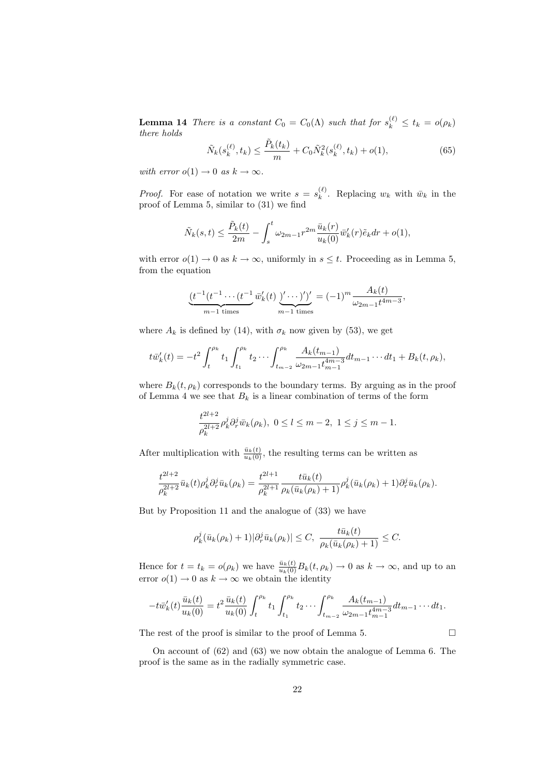**Lemma 14** There is a constant  $C_0 = C_0(\Lambda)$  such that for  $s_k^{(\ell)} \le t_k = o(\rho_k)$ there holds

$$
\tilde{N}_k(s_k^{(\ell)}, t_k) \le \frac{\tilde{P}_k(t_k)}{m} + C_0 \tilde{N}_k^2(s_k^{(\ell)}, t_k) + o(1),\tag{65}
$$

with error  $o(1) \rightarrow 0$  as  $k \rightarrow \infty$ .

*Proof.* For ease of notation we write  $s = s_k^{(\ell)}$  $\bar{k}^{(k)}$ . Replacing  $w_k$  with  $\bar{w}_k$  in the proof of Lemma 5, similar to (31) we find

$$
\tilde{N}_k(s,t) \le \frac{\tilde{P}_k(t)}{2m} - \int_s^t \omega_{2m-1} r^{2m} \frac{\bar{u}_k(r)}{u_k(0)} \bar{w}'_k(r) \tilde{e}_k dr + o(1),
$$

with error  $o(1) \to 0$  as  $k \to \infty$ , uniformly in  $s \leq t$ . Proceeding as in Lemma 5, from the equation

$$
\underbrace{(t^{-1}(t^{-1}\cdots(t^{-1}\overline{w}'_k(t)\underbrace{y'\cdots)}')'}_{m-1 \text{ times}}=(-1)^m \frac{A_k(t)}{\omega_{2m-1}t^{4m-3}},
$$

where  $A_k$  is defined by (14), with  $\sigma_k$  now given by (53), we get

$$
t\bar{w}'_k(t) = -t^2 \int_t^{\rho_k} t_1 \int_{t_1}^{\rho_k} t_2 \cdots \int_{t_{m-2}}^{\rho_k} \frac{A_k(t_{m-1})}{\omega_{2m-1} t_{m-1}^{4m-3}} dt_{m-1} \cdots dt_1 + B_k(t, \rho_k),
$$

where  $B_k(t, \rho_k)$  corresponds to the boundary terms. By arguing as in the proof of Lemma 4 we see that  $B_k$  is a linear combination of terms of the form

$$
\frac{t^{2l+2}}{\rho_k^{2l+2}}\rho_k^j \partial_r^j \bar{w}_k(\rho_k), \ 0 \le l \le m-2, \ 1 \le j \le m-1.
$$

After multiplication with  $\frac{\bar{u}_k(t)}{u_k(0)}$ , the resulting terms can be written as

$$
\frac{t^{2l+2}}{\rho_k^{2l+2}} \bar{u}_k(t) \rho_k^j \partial_r^j \bar{u}_k(\rho_k) = \frac{t^{2l+1}}{\rho_k^{2l+1}} \frac{t \bar{u}_k(t)}{\rho_k(\bar{u}_k(\rho_k) + 1)} \rho_k^j (\bar{u}_k(\rho_k) + 1) \partial_r^j \bar{u}_k(\rho_k).
$$

But by Proposition 11 and the analogue of (33) we have

$$
\rho_k^j(\bar{u}_k(\rho_k)+1)|\partial_r^j\bar{u}_k(\rho_k)|\leq C,\ \frac{t\bar{u}_k(t)}{\rho_k(\bar{u}_k(\rho_k)+1)}\leq C.
$$

Hence for  $t = t_k = o(\rho_k)$  we have  $\frac{\bar{u}_k(t)}{u_k(0)} B_k(t, \rho_k) \to 0$  as  $k \to \infty$ , and up to an error  $o(1) \to 0$  as  $k \to \infty$  we obtain the identity

$$
-t\bar{w}'_k(t)\frac{\bar{u}_k(t)}{u_k(0)}=t^2\frac{\bar{u}_k(t)}{u_k(0)}\int_t^{\rho_k}t_1\int_{t_1}^{\rho_k}t_2\cdots\int_{t_{m-2}}^{\rho_k}\frac{A_k(t_{m-1})}{\omega_{2m-1}t_{m-1}^{4m-3}}dt_{m-1}\cdots dt_1.
$$

The rest of the proof is similar to the proof of Lemma 5.

On account of (62) and (63) we now obtain the analogue of Lemma 6. The proof is the same as in the radially symmetric case.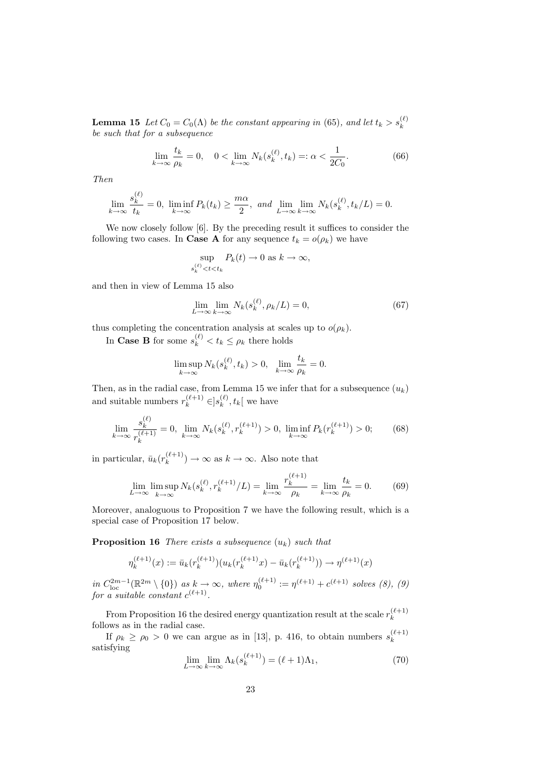**Lemma 15** Let  $C_0 = C_0(\Lambda)$  be the constant appearing in (65), and let  $t_k > s_k^{(\ell)}$ be such that for a subsequence

$$
\lim_{k \to \infty} \frac{t_k}{\rho_k} = 0, \quad 0 < \lim_{k \to \infty} N_k(s_k^{(\ell)}, t_k) =: \alpha < \frac{1}{2C_0}.\tag{66}
$$

Then

$$
\lim_{k \to \infty} \frac{s_k^{(\ell)}}{t_k} = 0, \liminf_{k \to \infty} P_k(t_k) \ge \frac{m\alpha}{2}, \text{ and } \lim_{L \to \infty} \lim_{k \to \infty} N_k(s_k^{(\ell)}, t_k/L) = 0.
$$

We now closely follow [6]. By the preceding result it suffices to consider the following two cases. In **Case A** for any sequence  $t_k = o(\rho_k)$  we have

$$
\sup_{s_k^{(\ell)}
$$

and then in view of Lemma 15 also

$$
\lim_{L \to \infty} \lim_{k \to \infty} N_k(s_k^{(\ell)}, \rho_k/L) = 0,\tag{67}
$$

thus completing the concentration analysis at scales up to  $o(\rho_k)$ .

In Case B for some  $s_k^{(\ell)} < t_k \leq \rho_k$  there holds

$$
\limsup_{k \to \infty} N_k(s_k^{(\ell)}, t_k) > 0, \quad \lim_{k \to \infty} \frac{t_k}{\rho_k} = 0.
$$

Then, as in the radial case, from Lemma 15 we infer that for a subsequence  $(u_k)$ and suitable numbers  $r_k^{(\ell+1)} \in ]s_k^{(\ell)}$  $k^{(\ell)}$ ,  $t_k$  we have

$$
\lim_{k \to \infty} \frac{s_k^{(\ell)}}{r_k^{(\ell+1)}} = 0, \lim_{k \to \infty} N_k(s_k^{(\ell)}, r_k^{(\ell+1)}) > 0, \liminf_{k \to \infty} P_k(r_k^{(\ell+1)}) > 0; \tag{68}
$$

in particular,  $\bar{u}_k(r_k^{(\ell+1)})$  $\binom{k+1}{k}$   $\rightarrow \infty$  as  $k \rightarrow \infty$ . Also note that

$$
\lim_{L \to \infty} \limsup_{k \to \infty} N_k(s_k^{(\ell)}, r_k^{(\ell+1)}/L) = \lim_{k \to \infty} \frac{r_k^{(\ell+1)}}{\rho_k} = \lim_{k \to \infty} \frac{t_k}{\rho_k} = 0.
$$
 (69)

Moreover, analoguous to Proposition 7 we have the following result, which is a special case of Proposition 17 below.

**Proposition 16** There exists a subsequence  $(u_k)$  such that

$$
\eta_k^{(\ell+1)}(x) := \bar{u}_k(r_k^{(\ell+1)}) (u_k(r_k^{(\ell+1)}x) - \bar{u}_k(r_k^{(\ell+1)})) \to \eta^{(\ell+1)}(x)
$$

in  $C_{\text{loc}}^{2m-1}(\mathbb{R}^{2m} \setminus \{0\})$  as  $k \to \infty$ , where  $\eta_0^{(\ell+1)} := \eta^{(\ell+1)} + c^{(\ell+1)}$  solves (8), (9) for a suitable constant  $c^{(\ell+1)}$ .

From Proposition 16 the desired energy quantization result at the scale  $r_k^{(\ell+1)}$ k follows as in the radial case.

If  $\rho_k \ge \rho_0 > 0$  we can argue as in [13], p. 416, to obtain numbers  $s_k^{(\ell+1)}$ k satisfying

$$
\lim_{L \to \infty} \lim_{k \to \infty} \Lambda_k(s_k^{(\ell+1)}) = (\ell+1)\Lambda_1,\tag{70}
$$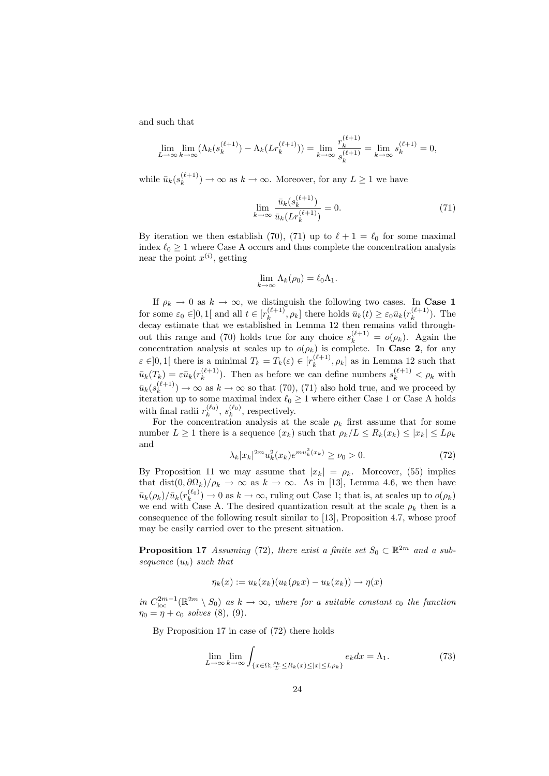and such that

$$
\lim_{L \to \infty} \lim_{k \to \infty} (\Lambda_k(s_k^{(\ell+1)}) - \Lambda_k(Lr_k^{(\ell+1)})) = \lim_{k \to \infty} \frac{r_k^{(\ell+1)}}{s_k^{(\ell+1)}} = \lim_{k \to \infty} s_k^{(\ell+1)} = 0,
$$

while  $\bar{u}_k(s_k^{(\ell+1)})$  $\binom{k+1}{k} \rightarrow \infty$  as  $k \rightarrow \infty$ . Moreover, for any  $L \geq 1$  we have

$$
\lim_{k \to \infty} \frac{\bar{u}_k(s_k^{(\ell+1)})}{\bar{u}_k(Lr_k^{(\ell+1)})} = 0.
$$
\n(71)

By iteration we then establish (70), (71) up to  $\ell + 1 = \ell_0$  for some maximal index  $\ell_0 \geq 1$  where Case A occurs and thus complete the concentration analysis near the point  $x^{(i)}$ , getting

$$
\lim_{k \to \infty} \Lambda_k(\rho_0) = \ell_0 \Lambda_1.
$$

If  $\rho_k \to 0$  as  $k \to \infty$ , we distinguish the following two cases. In **Case 1** for some  $\varepsilon_0 \in ]0,1[$  and all  $t \in [r_k^{(\ell+1)}]$  $[\hat{k}^{(\ell+1)}, \rho_k]$  there holds  $\bar{u}_k(t) \geq \varepsilon_0 \bar{u}_k(r_k^{(\ell+1)})$  $\binom{k+1}{k}$ . The decay estimate that we established in Lemma 12 then remains valid throughout this range and (70) holds true for any choice  $s_k^{(\ell+1)} = o(\rho_k)$ . Again the concentration analysis at scales up to  $o(\rho_k)$  is complete. In Case 2, for any  $\varepsilon \in ]0,1[$  there is a minimal  $T_k = T_k(\varepsilon) \in [r_k^{(\ell+1)}]$  $\left[ \begin{array}{c} (k+1) \\ k \end{array} \right]$  as in Lemma 12 such that  $\bar{u}_k(T_k) = \varepsilon \bar{u}_k(r_k^{(\ell+1)})$  $\binom{\ell+1}{k}$ . Then as before we can define numbers  $s_k^{(\ell+1)} < \rho_k$  with  $\bar{u}_k(s_k^{(\ell+1)}$  $\binom{k+1}{k}$   $\rightarrow \infty$  as  $k \rightarrow \infty$  so that (70), (71) also hold true, and we proceed by iteration up to some maximal index  $\ell_0 \geq 1$  where either Case 1 or Case A holds with final radii  $r_k^{(\ell_0)}$ ,  $s_k^{(\ell_0)}$ , respectively.

For the concentration analysis at the scale  $\rho_k$  first assume that for some number  $L \geq 1$  there is a sequence  $(x_k)$  such that  $\rho_k/L \leq R_k(x_k) \leq |x_k| \leq L\rho_k$ and

$$
\lambda_k |x_k|^{2m} u_k^2(x_k) e^{m u_k^2(x_k)} \ge \nu_0 > 0. \tag{72}
$$

By Proposition 11 we may assume that  $|x_k| = \rho_k$ . Moreover, (55) implies that dist $(0, \partial \Omega_k)/\rho_k \to \infty$  as  $k \to \infty$ . As in [13], Lemma 4.6, we then have  $\bar{u}_k(\rho_k)/\bar{u}_k(r_k^{(\ell_0)})\to 0$  as  $k\to\infty$ , ruling out Case 1; that is, at scales up to  $o(\rho_k)$ we end with Case A. The desired quantization result at the scale  $\rho_k$  then is a consequence of the following result similar to [13], Proposition 4.7, whose proof may be easily carried over to the present situation.

**Proposition 17** Assuming (72), there exist a finite set  $S_0 \subset \mathbb{R}^{2m}$  and a subsequence  $(u_k)$  such that

$$
\eta_k(x) := u_k(x_k)(u_k(\rho_k x) - u_k(x_k)) \to \eta(x)
$$

in  $C_{\text{loc}}^{2m-1}(\mathbb{R}^{2m} \setminus S_0)$  as  $k \to \infty$ , where for a suitable constant  $c_0$  the function  $\eta_0 = \eta + c_0 \; \text{solves} \; (8), \; (9).$ 

By Proposition 17 in case of (72) there holds

$$
\lim_{L \to \infty} \lim_{k \to \infty} \int_{\{x \in \Omega; \frac{\rho_k}{L} \le R_k(x) \le |x| \le L\rho_k\}} e_k dx = \Lambda_1. \tag{73}
$$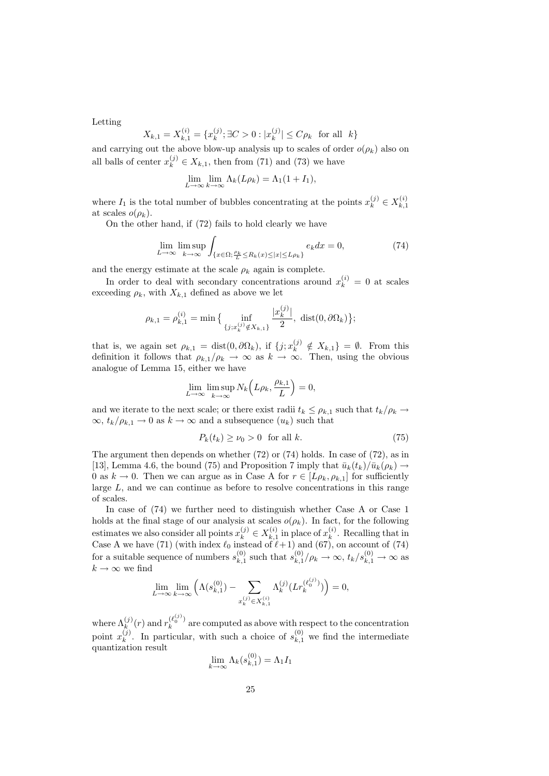Letting

$$
X_{k,1} = X_{k,1}^{(i)} = \{x_k^{(j)}; \exists C > 0 : |x_k^{(j)}| \le C\rho_k \text{ for all } k\}
$$

and carrying out the above blow-up analysis up to scales of order  $o(\rho_k)$  also on all balls of center  $x_k^{(j)} \in X_{k,1}$ , then from (71) and (73) we have

$$
\lim_{L \to \infty} \lim_{k \to \infty} \Lambda_k(L\rho_k) = \Lambda_1(1 + I_1),
$$

where  $I_1$  is the total number of bubbles concentrating at the points  $x_k^{(j)} \in X_{k,1}^{(i)}$  $k,1$ at scales  $o(\rho_k)$ .

On the other hand, if (72) fails to hold clearly we have

$$
\lim_{L \to \infty} \limsup_{k \to \infty} \int_{\{x \in \Omega; \frac{\rho_k}{L} \le R_k(x) \le |x| \le L\rho_k\}} e_k dx = 0,
$$
\n(74)

and the energy estimate at the scale  $\rho_k$  again is complete.

In order to deal with secondary concentrations around  $x_k^{(i)} = 0$  at scales exceeding  $\rho_k$ , with  $X_{k,1}$  defined as above we let

$$
\rho_{k,1} = \rho_{k,1}^{(i)} = \min \big\{ \inf_{\{j: x_k^{(j)} \notin X_{k,1}\}} \frac{|x_k^{(j)}|}{2}, \text{ dist}(0, \partial \Omega_k) \big\};
$$

that is, we again set  $\rho_{k,1} = \text{dist}(0, \partial \Omega_k)$ , if  $\{j; x_k^{(j)} \notin X_{k,1}\} = \emptyset$ . From this definition it follows that  $\rho_{k,1}/\rho_k \to \infty$  as  $k \to \infty$ . Then, using the obvious analogue of Lemma 15, either we have

$$
\lim_{L \to \infty} \limsup_{k \to \infty} N_k \left( L \rho_k, \frac{\rho_{k,1}}{L} \right) = 0,
$$

and we iterate to the next scale; or there exist radii  $t_k \leq \rho_{k,1}$  such that  $t_k/\rho_k \to$  $\infty, t_k/\rho_{k,1} \to 0$  as  $k \to \infty$  and a subsequence  $(u_k)$  such that

$$
P_k(t_k) \ge \nu_0 > 0 \quad \text{for all } k. \tag{75}
$$

The argument then depends on whether (72) or (74) holds. In case of (72), as in [13], Lemma 4.6, the bound (75) and Proposition 7 imply that  $\bar{u}_k(t_k)/\bar{u}_k(\rho_k) \rightarrow$ 0 as  $k \to 0$ . Then we can argue as in Case A for  $r \in [L\rho_k, \rho_{k,1}]$  for sufficiently large L, and we can continue as before to resolve concentrations in this range of scales.

In case of  $(74)$  we further need to distinguish whether Case A or Case 1 holds at the final stage of our analysis at scales  $o(\rho_k)$ . In fact, for the following estimates we also consider all points  $x_k^{(j)} \in X_{k,1}^{(i)}$  $x_{k,1}^{(i)}$  in place of  $x_k^{(i)}$  $\binom{n}{k}$ . Recalling that in Case A we have (71) (with index  $\ell_0$  instead of  $\ell+1$ ) and (67), on account of (74) for a suitable sequence of numbers  $s_{k,1}^{(0)}$  $s_{k,1}^{(0)}$  such that  $s_{k,1}^{(0)}$  $k_{k,1}^{(0)}/\rho_k \to \infty$ ,  $t_k/s_{k,1}^{(0)} \to \infty$  as  $k \to \infty$  we find

$$
\lim_{L \to \infty} \lim_{k \to \infty} \left( \Lambda(s_{k,1}^{(0)}) - \sum_{x_k^{(j)} \in X_{k,1}^{(i)}} \Lambda_k^{(j)} (Lr_k^{(\ell_0^{(j)})}) \right) = 0,
$$

where  $\Lambda_k^{(j)}(r)$  and  $r_k^{(\ell_0^{(j)})}$  $\frac{a_0}{k}$  are computed as above with respect to the concentration point  $x_k^{(j)}$  $\kappa_k^{(j)}$ . In particular, with such a choice of  $s_{k,1}^{(0)}$  we find the intermediate quantization result

$$
\lim_{k \to \infty} \Lambda_k(s_{k,1}^{(0)}) = \Lambda_1 I_1
$$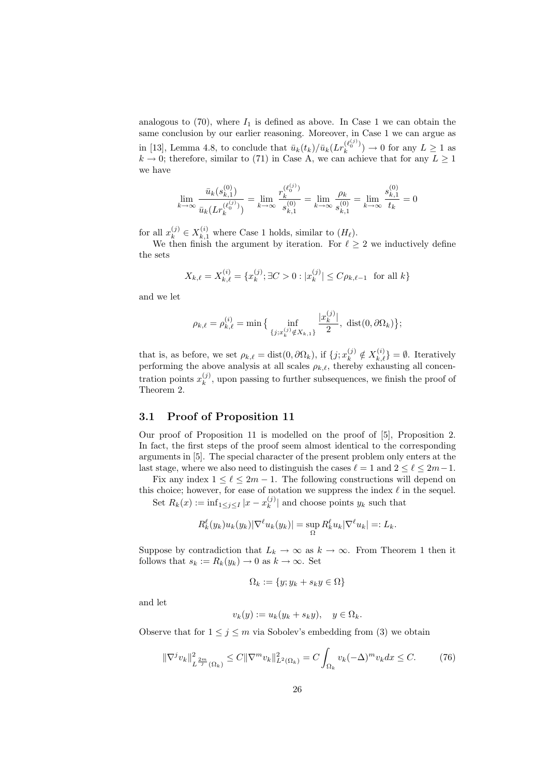analogous to  $(70)$ , where  $I_1$  is defined as above. In Case 1 we can obtain the same conclusion by our earlier reasoning. Moreover, in Case 1 we can argue as in [13], Lemma 4.8, to conclude that  $\bar{u}_k(t_k)/\bar{u}_k(Lr_k^{(\ell_0^{(j)})})$  $\binom{k_0}{k}$   $\rightarrow$  0 for any  $L \ge 1$  as  $k \to 0$ ; therefore, similar to (71) in Case A, we can achieve that for any  $L \geq 1$ we have

$$
\lim_{k \to \infty} \frac{\bar{u}_k(s_{k,1}^{(0)})}{\bar{u}_k(Lr_k^{(\ell_0^{(j)})})} = \lim_{k \to \infty} \frac{r_k^{(\ell_0^{(j)})}}{s_{k,1}^{(0)}} = \lim_{k \to \infty} \frac{\rho_k}{s_{k,1}^{(0)}} = \lim_{k \to \infty} \frac{s_{k,1}^{(0)}}{t_k} = 0
$$

for all  $x_k^{(j)} \in X_{k,1}^{(i)}$  where Case 1 holds, similar to  $(H_\ell)$ .

We then finish the argument by iteration. For  $\ell \geq 2$  we inductively define the sets

$$
X_{k,\ell} = X_{k,\ell}^{(i)} = \{x_k^{(j)}; \exists C > 0 : |x_k^{(j)}| \le C\rho_{k,\ell-1} \text{ for all } k\}
$$

and we let

$$
\rho_{k,\ell} = \rho_{k,\ell}^{(i)} = \min \big\{ \inf_{\{j: x_k^{(j)} \notin X_{k,1}\}} \frac{|x_k^{(j)}|}{2}, \text{ dist}(0, \partial \Omega_k) \big\};
$$

that is, as before, we set  $\rho_{k,\ell} = \text{dist}(0, \partial \Omega_k)$ , if  $\{j; x_k^{(j)} \notin X_{k,\ell}^{(i)}\} = \emptyset$ . Iteratively performing the above analysis at all scales  $\rho_{k,\ell}$ , thereby exhausting all concentration points  $x_k^{(j)}$  $\binom{y}{k}$ , upon passing to further subsequences, we finish the proof of Theorem 2.

#### 3.1 Proof of Proposition 11

Our proof of Proposition 11 is modelled on the proof of [5], Proposition 2. In fact, the first steps of the proof seem almost identical to the corresponding arguments in [5]. The special character of the present problem only enters at the last stage, where we also need to distinguish the cases  $\ell = 1$  and  $2 \leq \ell \leq 2m-1$ .

Fix any index  $1 \leq \ell \leq 2m - 1$ . The following constructions will depend on this choice; however, for ease of notation we suppress the index  $\ell$  in the sequel.

Set  $R_k(x) := \inf_{1 \le j \le I} |x - x_k^{(j)}|$  $\binom{y}{k}$  and choose points  $y_k$  such that

$$
R_k^{\ell}(y_k)u_k(y_k)|\nabla^{\ell}u_k(y_k)|=\sup_{\Omega}R_k^{\ell}u_k|\nabla^{\ell}u_k|=:L_k.
$$

Suppose by contradiction that  $L_k \to \infty$  as  $k \to \infty$ . From Theorem 1 then it follows that  $s_k := R_k(y_k) \to 0$  as  $k \to \infty$ . Set

$$
\Omega_k := \{ y; y_k + s_k y \in \Omega \}
$$

and let

$$
v_k(y) := u_k(y_k + s_k y), \quad y \in \Omega_k.
$$

Observe that for  $1 \leq j \leq m$  via Sobolev's embedding from (3) we obtain

$$
\|\nabla^j v_k\|_{L^{\frac{2m}{j}}(\Omega_k)}^2 \le C \|\nabla^m v_k\|_{L^2(\Omega_k)}^2 = C \int_{\Omega_k} v_k (-\Delta)^m v_k dx \le C. \tag{76}
$$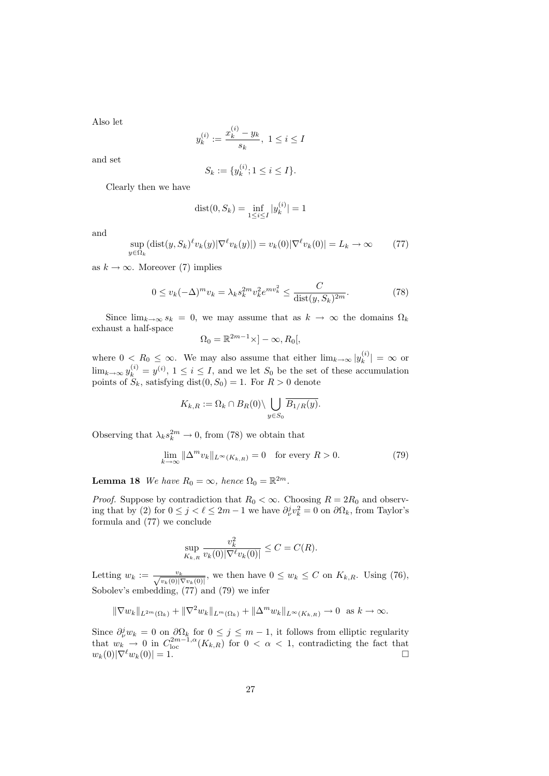Also let

$$
y_k^{(i)} := \frac{x_k^{(i)} - y_k}{s_k}, \ 1 \le i \le I
$$

and set

$$
S_k := \{ y_k^{(i)}; 1 \le i \le I \}.
$$

Clearly then we have

$$
dist(0, S_k) = \inf_{1 \le i \le I} |y_k^{(i)}| = 1
$$

and

$$
\sup_{y \in \Omega_k} (\text{dist}(y, S_k)^{\ell} v_k(y) | \nabla^{\ell} v_k(y) | ) = v_k(0) | \nabla^{\ell} v_k(0) | = L_k \to \infty \tag{77}
$$

as  $k \to \infty$ . Moreover (7) implies

$$
0 \le v_k(-\Delta)^m v_k = \lambda_k s_k^{2m} v_k^2 e^{mv_k^2} \le \frac{C}{\text{dist}(y, S_k)^{2m}}.
$$
 (78)

Since  $\lim_{k\to\infty} s_k = 0$ , we may assume that as  $k \to \infty$  the domains  $\Omega_k$ exhaust a half-space

$$
\Omega_0 = \mathbb{R}^{2m-1} \times ]-\infty, R_0[,
$$

where  $0 < R_0 \leq \infty$ . We may also assume that either  $\lim_{k \to \infty} |y_k^{(i)}|$  $|k^{(i)}| = \infty$  or  $\lim_{k\to\infty} y_k^{(i)} = y^{(i)}$ ,  $1 \leq i \leq I$ , and we let  $S_0$  be the set of these accumulation points of  $S_k$ , satisfying dist $(0, S_0) = 1$ . For  $R > 0$  denote

$$
K_{k,R} := \Omega_k \cap B_R(0) \setminus \bigcup_{y \in S_0} \overline{B_{1/R}(y)}.
$$

Observing that  $\lambda_k s_k^{2m} \to 0$ , from (78) we obtain that

$$
\lim_{k \to \infty} \|\Delta^m v_k\|_{L^\infty(K_{k,R})} = 0 \quad \text{for every } R > 0.
$$
 (79)

**Lemma 18** We have  $R_0 = \infty$ , hence  $\Omega_0 = \mathbb{R}^{2m}$ .

*Proof.* Suppose by contradiction that  $R_0 < \infty$ . Choosing  $R = 2R_0$  and observing that by (2) for  $0 \le j < \ell \le 2m - 1$  we have  $\partial_{\nu}^{j} v_{k}^{2} = 0$  on  $\partial \Omega_{k}$ , from Taylor's formula and (77) we conclude

$$
\sup_{K_{k,R}} \frac{v_k^2}{v_k(0)|\nabla^{\ell} v_k(0)|} \le C = C(R).
$$

Letting  $w_k := \frac{v_k}{\sqrt{v_k(0)|\nabla v_k(0)|}}$ , we then have  $0 \leq w_k \leq C$  on  $K_{k,R}$ . Using (76), Sobolev's embedding, (77) and (79) we infer

$$
\|\nabla w_k\|_{L^{2m}(\Omega_k)} + \|\nabla^2 w_k\|_{L^m(\Omega_k)} + \|\Delta^m w_k\|_{L^{\infty}(K_{k,R})} \to 0 \text{ as } k \to \infty.
$$

Since  $\partial_{\nu}^{j}w_{k} = 0$  on  $\partial\Omega_{k}$  for  $0 \leq j \leq m-1$ , it follows from elliptic regularity that  $w_k \to 0$  in  $C_{\text{loc}}^{2m-1,\alpha}(K_{k,R})$  for  $0 < \alpha < 1$ , contradicting the fact that  $w_k(0)|\nabla^{\ell}w_k(0)| = 1.$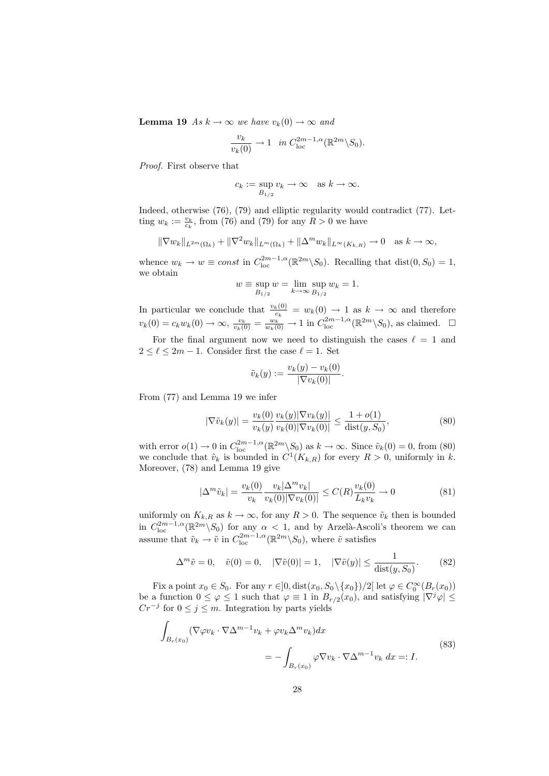**Lemma 19** As  $k \to \infty$  we have  $v_k(0) \to \infty$  and

$$
\frac{v_k}{v_k(0)} \to 1 \quad \text{in } C^{2m-1,\alpha}_{\text{loc}}(\mathbb{R}^{2m} \backslash S_0).
$$

Proof. First observe that

$$
c_k := \sup_{B_{1/2}} v_k \to \infty \quad \text{as } k \to \infty.
$$

Indeed, otherwise (76), (79) and elliptic regularity would contradict (77). Letting  $w_k := \frac{v_k}{c_k}$ , from (76) and (79) for any  $R > 0$  we have

$$
\|\nabla w_k\|_{L^{2m}(\Omega_k)} + \|\nabla^2 w_k\|_{L^m(\Omega_k)} + \|\Delta^m w_k\|_{L^\infty(K_{k,R})} \to 0 \quad \text{as } k \to \infty,
$$

whence  $w_k \to w \equiv const$  in  $C_{\text{loc}}^{2m-1,\alpha}(\mathbb{R}^{2m}\backslash S_0)$ . Recalling that  $\text{dist}(0, S_0) = 1$ , we obtain

$$
w \equiv \sup_{B_{1/2}} w = \lim_{k \to \infty} \sup_{B_{1/2}} w_k = 1.
$$

In particular we conclude that  $\frac{v_k(0)}{c_k} = w_k(0) \rightarrow 1$  as  $k \rightarrow \infty$  and therefore  $v_k(0) = c_k w_k(0) \to \infty$ ,  $\frac{v_k}{v_k(0)} = \frac{w_k}{w_k(0)} \to 1$  in  $C_{\text{loc}}^{2m-1,\alpha}(\mathbb{R}^{2m}\setminus S_0)$ , as claimed.  $\square$ For the final argument now we need to distinguish the cases  $\ell = 1$  and

 $2 \leq \ell \leq 2m-1.$  Consider first the case  $\ell = 1.$  Set

$$
\tilde{v}_k(y) := \frac{v_k(y) - v_k(0)}{|\nabla v_k(0)|}.
$$

From (77) and Lemma 19 we infer

$$
|\nabla \tilde{v}_k(y)| = \frac{v_k(0)}{v_k(y)} \frac{v_k(y)|\nabla v_k(y)|}{v_k(0)|\nabla v_k(0)|} \le \frac{1 + o(1)}{\text{dist}(y, S_0)},
$$
\n(80)

with error  $o(1) \to 0$  in  $C_{\text{loc}}^{2m-1,\alpha}(\mathbb{R}^{2m} \setminus S_0)$  as  $k \to \infty$ . Since  $\tilde{v}_k(0) = 0$ , from (80) we conclude that  $\tilde{v}_k$  is bounded in  $C^1(K_{k,R})$  for every  $R > 0$ , uniformly in k. Moreover, (78) and Lemma 19 give

$$
|\Delta^m \tilde{v}_k| = \frac{v_k(0)}{v_k} \frac{v_k |\Delta^m v_k|}{v_k(0) |\nabla v_k(0)|} \le C(R) \frac{v_k(0)}{L_k v_k} \to 0
$$
 (81)

uniformly on  $K_{k,R}$  as  $k \to \infty$ , for any  $R > 0$ . The sequence  $\tilde{v}_k$  then is bounded in  $C_{\text{loc}}^{2m-1,\alpha}(\mathbb{R}^{2m}\setminus S_0)$  for any  $\alpha < 1$ , and by Arzelà-Ascoli's theorem we can assume that  $\tilde{v}_k \to \tilde{v}$  in  $C^{2m-1,\alpha}_{loc}(\mathbb{R}^{2m}\setminus S_0)$ , where  $\tilde{v}$  satisfies

$$
\Delta^m \tilde{v} = 0, \quad \tilde{v}(0) = 0, \quad |\nabla \tilde{v}(0)| = 1, \quad |\nabla \tilde{v}(y)| \le \frac{1}{\text{dist}(y, S_0)}.\tag{82}
$$

Fix a point  $x_0 \in S_0$ . For any  $r \in ]0, \text{dist}(x_0, S_0 \setminus \{x_0\})/2[$  let  $\varphi \in C_0^{\infty}(B_r(x_0))$ be a function  $0 \leq \varphi \leq 1$  such that  $\varphi \equiv 1$  in  $B_{r/2}(x_0)$ , and satisfying  $|\nabla^j \varphi| \leq$  $Cr^{-j}$  for  $0 \leq j \leq m$ . Integration by parts yields

$$
\int_{B_r(x_0)} (\nabla \varphi v_k \cdot \nabla \Delta^{m-1} v_k + \varphi v_k \Delta^m v_k) dx
$$
\n
$$
= - \int_{B_r(x_0)} \varphi \nabla v_k \cdot \nabla \Delta^{m-1} v_k dx =: I.
$$
\n(83)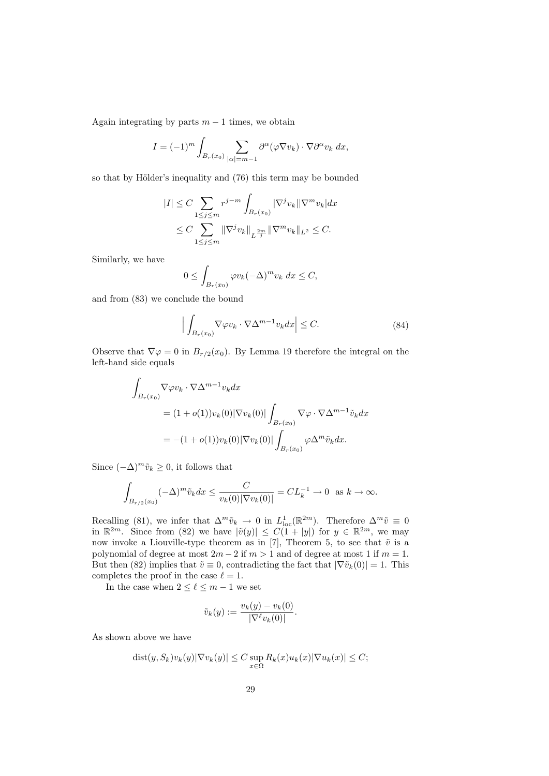Again integrating by parts  $m - 1$  times, we obtain

$$
I = (-1)^m \int_{B_r(x_0)} \sum_{|\alpha|=m-1} \partial^{\alpha} (\varphi \nabla v_k) \cdot \nabla \partial^{\alpha} v_k dx,
$$

so that by Hölder's inequality and (76) this term may be bounded

$$
|I| \leq C \sum_{1 \leq j \leq m} r^{j-m} \int_{B_r(x_0)} |\nabla^j v_k| |\nabla^m v_k| dx
$$
  

$$
\leq C \sum_{1 \leq j \leq m} ||\nabla^j v_k||_{L^{\frac{2m}{j}}} ||\nabla^m v_k||_{L^2} \leq C.
$$

Similarly, we have

$$
0 \le \int_{B_r(x_0)} \varphi v_k (-\Delta)^m v_k dx \le C,
$$

and from (83) we conclude the bound

$$
\Big| \int_{B_r(x_0)} \nabla \varphi v_k \cdot \nabla \Delta^{m-1} v_k dx \Big| \le C. \tag{84}
$$

Observe that  $\nabla \varphi = 0$  in  $B_{r/2}(x_0)$ . By Lemma 19 therefore the integral on the left-hand side equals

$$
\int_{B_r(x_0)} \nabla \varphi v_k \cdot \nabla \Delta^{m-1} v_k dx
$$
  
=  $(1 + o(1))v_k(0)|\nabla v_k(0)| \int_{B_r(x_0)} \nabla \varphi \cdot \nabla \Delta^{m-1} \tilde{v}_k dx$   
=  $-(1 + o(1))v_k(0)|\nabla v_k(0)| \int_{B_r(x_0)} \varphi \Delta^m \tilde{v}_k dx.$ 

Since  $(-\Delta)^m \tilde{v}_k \geq 0$ , it follows that

$$
\int_{B_{r/2}(x_0)} (-\Delta)^m \tilde{v}_k dx \le \frac{C}{v_k(0)|\nabla v_k(0)|} = CL_k^{-1} \to 0 \text{ as } k \to \infty.
$$

Recalling (81), we infer that  $\Delta^m \tilde{v}_k \to 0$  in  $L^1_{loc}(\mathbb{R}^{2m})$ . Therefore  $\Delta^m \tilde{v} \equiv 0$ in  $\mathbb{R}^{2m}$ . Since from (82) we have  $|\tilde{v}(y)| \leq C(1+|y|)$  for  $y \in \mathbb{R}^{2m}$ , we may now invoke a Liouville-type theorem as in [7], Theorem 5, to see that  $\tilde{v}$  is a polynomial of degree at most  $2m - 2$  if  $m > 1$  and of degree at most 1 if  $m = 1$ . But then (82) implies that  $\tilde{v} \equiv 0$ , contradicting the fact that  $|\nabla \tilde{v}_k(0)| = 1$ . This completes the proof in the case  $\ell = 1$ .

In the case when  $2 \leq \ell \leq m - 1$  we set

$$
\tilde{v}_k(y) := \frac{v_k(y) - v_k(0)}{|\nabla^{\ell} v_k(0)|}.
$$

As shown above we have

$$
dist(y, S_k)v_k(y)|\nabla v_k(y)| \le C \sup_{x \in \Omega} R_k(x)u_k(x)|\nabla u_k(x)| \le C;
$$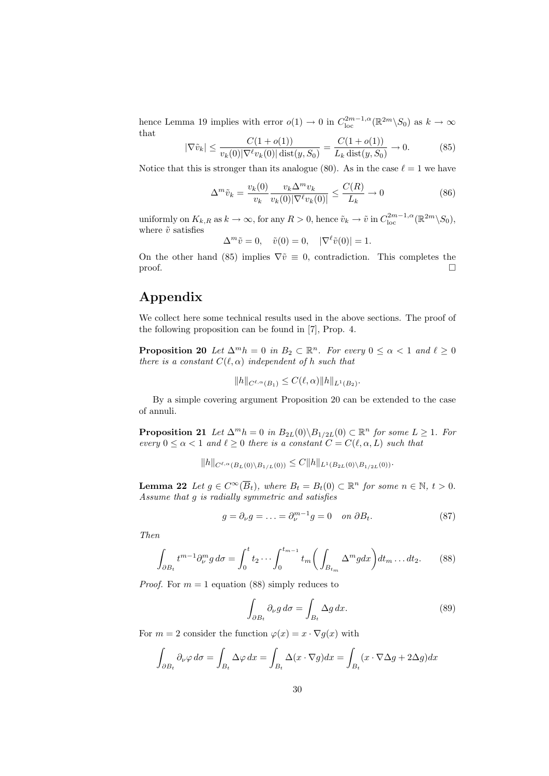hence Lemma 19 implies with error  $o(1) \to 0$  in  $C_{\text{loc}}^{2m-1,\alpha}(\mathbb{R}^{2m}\setminus S_0)$  as  $k \to \infty$ that

$$
|\nabla \tilde{v}_k| \le \frac{C(1 + o(1))}{v_k(0)|\nabla^{\ell} v_k(0)| \operatorname{dist}(y, S_0)} = \frac{C(1 + o(1))}{L_k \operatorname{dist}(y, S_0)} \to 0. \tag{85}
$$

Notice that this is stronger than its analogue (80). As in the case  $\ell = 1$  we have

$$
\Delta^m \tilde{v}_k = \frac{v_k(0)}{v_k} \frac{v_k \Delta^m v_k}{v_k(0) |\nabla^\ell v_k(0)|} \le \frac{C(R)}{L_k} \to 0 \tag{86}
$$

uniformly on  $K_{k,R}$  as  $k \to \infty$ , for any  $R > 0$ , hence  $\tilde{v}_k \to \tilde{v}$  in  $C_{loc}^{2m-1,\alpha}(\mathbb{R}^{2m}\setminus S_0)$ , where  $\tilde{v}$  satisfies

 $\Delta^m \tilde{v} = 0$ ,  $\tilde{v}(0) = 0$ ,  $|\nabla^{\ell} \tilde{v}(0)| = 1$ .

On the other hand (85) implies  $\nabla \tilde{v} \equiv 0$ , contradiction. This completes the  $\Box$ 

# Appendix

We collect here some technical results used in the above sections. The proof of the following proposition can be found in [7], Prop. 4.

**Proposition 20** Let  $\Delta^m h = 0$  in  $B_2 \subset \mathbb{R}^n$ . For every  $0 \le \alpha < 1$  and  $\ell \ge 0$ there is a constant  $C(\ell, \alpha)$  independent of h such that

$$
||h||_{C^{\ell,\alpha}(B_1)} \leq C(\ell,\alpha)||h||_{L^1(B_2)}.
$$

By a simple covering argument Proposition 20 can be extended to the case of annuli.

**Proposition 21** Let  $\Delta^m h = 0$  in  $B_{2L}(0) \setminus B_{1/2L}(0) \subset \mathbb{R}^n$  for some  $L \geq 1$ . For every  $0 \leq \alpha < 1$  and  $\ell \geq 0$  there is a constant  $C = C(\ell, \alpha, L)$  such that

$$
||h||_{C^{\ell,\alpha}(B_L(0)\setminus B_{1/L}(0))} \leq C||h||_{L^1(B_{2L}(0)\setminus B_{1/2L}(0))}.
$$

**Lemma 22** Let  $g \in C^{\infty}(\overline{B}_t)$ , where  $B_t = B_t(0) \subset \mathbb{R}^n$  for some  $n \in \mathbb{N}$ ,  $t > 0$ . Assume that g is radially symmetric and satisfies

$$
g = \partial_{\nu}g = \ldots = \partial_{\nu}^{m-1}g = 0 \quad on \ \partial B_t. \tag{87}
$$

Then

$$
\int_{\partial B_t} t^{m-1} \partial_{\nu}^m g \, d\sigma = \int_0^t t_2 \cdots \int_0^{t_{m-1}} t_m \bigg( \int_{B_{t_m}} \Delta^m g dx \bigg) dt_m \dots dt_2. \tag{88}
$$

*Proof.* For  $m = 1$  equation (88) simply reduces to

$$
\int_{\partial B_t} \partial_\nu g \, d\sigma = \int_{B_t} \Delta g \, dx. \tag{89}
$$

For  $m = 2$  consider the function  $\varphi(x) = x \cdot \nabla q(x)$  with

$$
\int_{\partial B_t} \partial_\nu \varphi \, d\sigma = \int_{B_t} \Delta \varphi \, dx = \int_{B_t} \Delta(x \cdot \nabla g) dx = \int_{B_t} (x \cdot \nabla \Delta g + 2\Delta g) dx
$$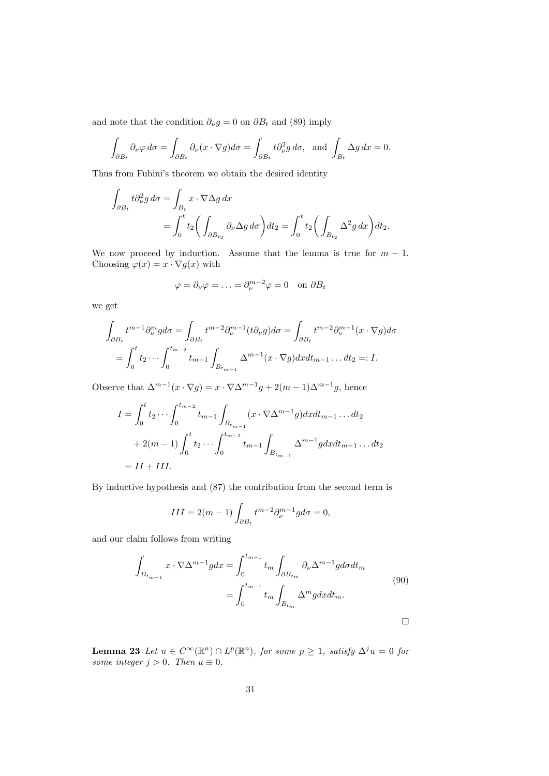and note that the condition  $\partial_{\nu}g = 0$  on  $\partial B_t$  and (89) imply

$$
\int_{\partial B_t} \partial_\nu \varphi \, d\sigma = \int_{\partial B_t} \partial_\nu (x \cdot \nabla g) d\sigma = \int_{\partial B_t} t \partial_\nu^2 g \, d\sigma, \text{ and } \int_{B_t} \Delta g \, dx = 0.
$$

Thus from Fubini's theorem we obtain the desired identity

$$
\int_{\partial B_t} t \partial_\nu^2 g \, d\sigma = \int_{B_t} x \cdot \nabla \Delta g \, dx
$$
\n
$$
= \int_0^t t_2 \bigg( \int_{\partial B_{t_2}} \partial_\nu \Delta g \, d\sigma \bigg) dt_2 = \int_0^t t_2 \bigg( \int_{B_{t_2}} \Delta^2 g \, dx \bigg) dt_2.
$$

We now proceed by induction. Assume that the lemma is true for  $m - 1$ . Choosing  $\varphi(x) = x \cdot \nabla g(x)$  with

$$
\varphi = \partial_{\nu}\varphi = \ldots = \partial_{\nu}^{m-2}\varphi = 0 \quad \text{on } \partial B_t
$$

we get

$$
\int_{\partial B_t} t^{m-1} \partial_{\nu}^m g d\sigma = \int_{\partial B_t} t^{m-2} \partial_{\nu}^{m-1}(t \partial_{\nu} g) d\sigma = \int_{\partial B_t} t^{m-2} \partial_{\nu}^{m-1}(x \cdot \nabla g) d\sigma
$$

$$
= \int_0^t t_2 \cdots \int_0^{t_{m-2}} t_{m-1} \int_{B_{t_{m-1}}} \Delta^{m-1}(x \cdot \nabla g) dx dt_{m-1} \dots dt_2 =: I.
$$

Observe that  $\Delta^{m-1}(x \cdot \nabla g) = x \cdot \nabla \Delta^{m-1} g + 2(m-1)\Delta^{m-1} g$ , hence

$$
I = \int_0^t t_2 \cdots \int_0^{t_{m-2}} t_{m-1} \int_{B_{t_{m-1}}} (x \cdot \nabla \Delta^{m-1} g) dx dt_{m-1} \dots dt_2
$$
  
+ 2(m-1)  $\int_0^t t_2 \cdots \int_0^{t_{m-2}} t_{m-1} \int_{B_{t_{m-1}}} \Delta^{m-1} g dx dt_{m-1} \dots dt_2$   
= II + III.

By inductive hypothesis and (87) the contribution from the second term is

$$
III = 2(m-1) \int_{\partial B_t} t^{m-2} \partial_{\nu}^{m-1} g d\sigma = 0,
$$

and our claim follows from writing

$$
\int_{B_{t_{m-1}}} x \cdot \nabla \Delta^{m-1} g dx = \int_0^{t_{m-1}} t_m \int_{\partial B_{t_m}} \partial_\nu \Delta^{m-1} g d\sigma dt_m
$$
\n
$$
= \int_0^{t_{m-1}} t_m \int_{B_{t_m}} \Delta^m g dx dt_m.
$$
\n(90)

**Lemma 23** Let  $u \in C^{\infty}(\mathbb{R}^n) \cap L^p(\mathbb{R}^n)$ , for some  $p \geq 1$ , satisfy  $\Delta^j u = 0$  for some integer  $j > 0$ . Then  $u \equiv 0$ .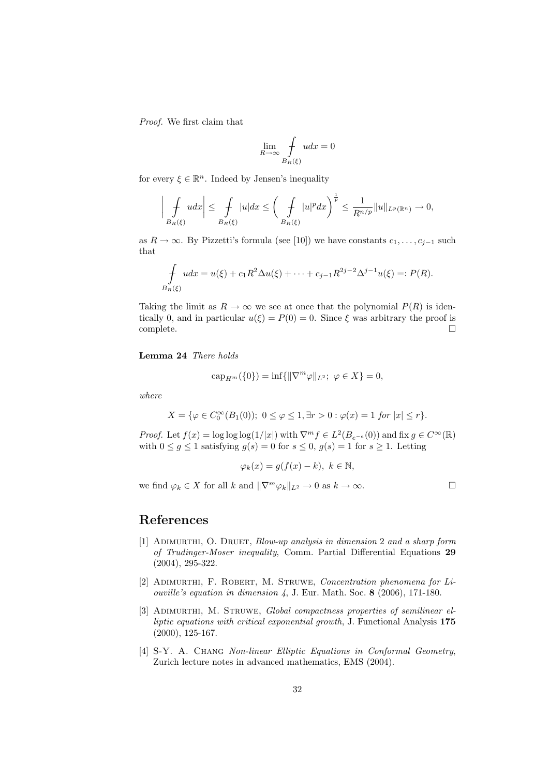Proof. We first claim that

$$
\lim_{R \to \infty} \int\limits_{B_R(\xi)} u dx = 0
$$

for every  $\xi \in \mathbb{R}^n$ . Indeed by Jensen's inequality

$$
\left|\int\limits_{B_R(\xi)} u dx\right| \leq \int\limits_{B_R(\xi)} |u| dx \leq \left(\int\limits_{B_R(\xi)} |u|^p dx\right)^{\frac{1}{p}} \leq \frac{1}{R^{n/p}} \|u\|_{L^p(\mathbb{R}^n)} \to 0,
$$

as  $R \to \infty$ . By Pizzetti's formula (see [10]) we have constants  $c_1, \ldots, c_{j-1}$  such that

$$
\int_{B_R(\xi)} u dx = u(\xi) + c_1 R^2 \Delta u(\xi) + \dots + c_{j-1} R^{2j-2} \Delta^{j-1} u(\xi) =: P(R).
$$

Taking the limit as  $R \to \infty$  we see at once that the polynomial  $P(R)$  is identically 0, and in particular  $u(\xi) = P(0) = 0$ . Since  $\xi$  was arbitrary the proof is complete.

#### Lemma 24 There holds

$$
cap_{H^m}(\{0\}) = \inf\{\|\nabla^m \varphi\|_{L^2}; \ \varphi \in X\} = 0,
$$

where

$$
X = \{ \varphi \in C_0^{\infty}(B_1(0)); \ 0 \le \varphi \le 1, \exists r > 0 : \varphi(x) = 1 \text{ for } |x| \le r \}.
$$

*Proof.* Let  $f(x) = \log \log \log(1/|x|)$  with  $\nabla^{m} f \in L^{2}(B_{e^{-e}}(0))$  and fix  $g \in C^{\infty}(\mathbb{R})$ with  $0 \le g \le 1$  satisfying  $g(s) = 0$  for  $s \le 0$ ,  $g(s) = 1$  for  $s \ge 1$ . Letting

$$
\varphi_k(x) = g(f(x) - k), \ k \in \mathbb{N},
$$

we find  $\varphi_k \in X$  for all k and  $\|\nabla^m \varphi_k\|_{L^2} \to 0$  as  $k \to \infty$ .

# References

- [1] ADIMURTHI, O. DRUET, Blow-up analysis in dimension 2 and a sharp form of Trudinger-Moser inequality, Comm. Partial Differential Equations 29 (2004), 295-322.
- [2] Adimurthi, F. Robert, M. Struwe, Concentration phenomena for Liouville's equation in dimension 4, J. Eur. Math. Soc. 8 (2006), 171-180.
- [3] ADIMURTHI, M. STRUWE, Global compactness properties of semilinear elliptic equations with critical exponential growth, J. Functional Analysis 175 (2000), 125-167.
- [4] S-Y. A. CHANG Non-linear Elliptic Equations in Conformal Geometry, Zurich lecture notes in advanced mathematics, EMS (2004).